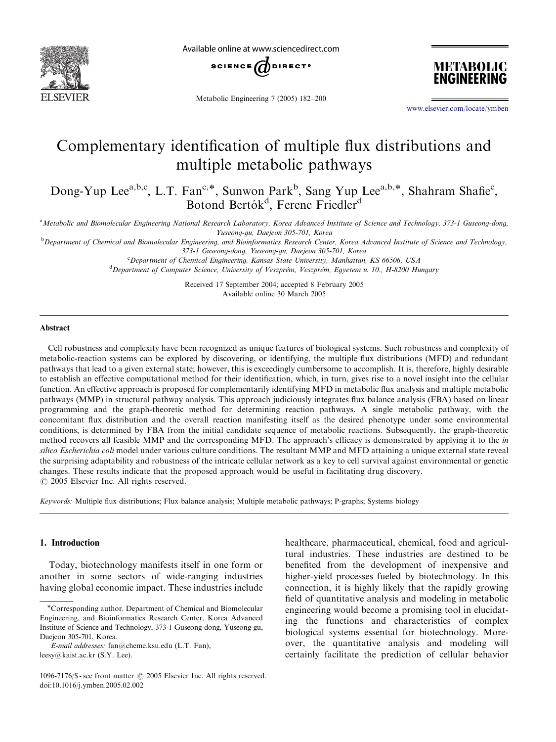

Available online at www.sciencedirect.com



Metabolic Engineering 7 (2005) 182–200



<www.elsevier.com/locate/ymben>

# Complementary identification of multiple flux distributions and multiple metabolic pathways

Dong-Yup Lee<sup>a,b,c</sup>, L.T. Fan<sup>c,\*</sup>, Sunwon Park<sup>b</sup>, Sang Yup Lee<sup>a,b,\*</sup>, Shahram Shafie<sup>c</sup>, Botond Bertók<sup>d</sup>, Ferenc Friedler<sup>d</sup>

a<br>Metabolic and Biomolecular Engineering National Research Laboratory, Korea Advanced Institute of Science and Technology, 373-1 Guseong-dong, Yuseong-gu, Daejeon 305-701, Korea

**b** Department of Chemical and Biomolecular Engineering, and Bioinformatics Research Center, Korea Advanced Institute of Science and Technology, 373-1 Guseong-dong, Yuseong-gu, Daejeon 305-701, Korea

<sup>c</sup>Department of Chemical Engineering, Kansas State University, Manhattan, KS 66506, USA

<sup>d</sup> Department of Computer Science, University of Veszprém, Veszprém, Egyetem u. 10., H-8200 Hungary

Received 17 September 2004; accepted 8 February 2005 Available online 30 March 2005

#### Abstract

Cell robustness and complexity have been recognized as unique features of biological systems. Such robustness and complexity of metabolic-reaction systems can be explored by discovering, or identifying, the multiple flux distributions (MFD) and redundant pathways that lead to a given external state; however, this is exceedingly cumbersome to accomplish. It is, therefore, highly desirable to establish an effective computational method for their identification, which, in turn, gives rise to a novel insight into the cellular function. An effective approach is proposed for complementarily identifying MFD in metabolic flux analysis and multiple metabolic pathways (MMP) in structural pathway analysis. This approach judiciously integrates fluxbalance analysis (FBA) based on linear programming and the graph-theoretic method for determining reaction pathways. A single metabolic pathway, with the concomitant flux distribution and the overall reaction manifesting itself as the desired phenotype under some environmental conditions, is determined by FBA from the initial candidate sequence of metabolic reactions. Subsequently, the graph-theoretic method recovers all feasible MMP and the corresponding MFD. The approach's efficacy is demonstrated by applying it to the in silico Escherichia coli model under various culture conditions. The resultant MMP and MFD attaining a unique external state reveal the surprising adaptability and robustness of the intricate cellular network as a key to cell survival against environmental or genetic changes. These results indicate that the proposed approach would be useful in facilitating drug discovery.  $\odot$  2005 Elsevier Inc. All rights reserved.

Keywords: Multiple flux distributions; Flux balance analysis; Multiple metabolic pathways; P-graphs; Systems biology

#### 1. Introduction

Today, biotechnology manifests itself in one form or another in some sectors of wide-ranging industries having global economic impact. These industries include healthcare, pharmaceutical, chemical, food and agricultural industries. These industries are destined to be benefited from the development of inexpensive and higher-yield processes fueled by biotechnology. In this connection, it is highly likely that the rapidly growing field of quantitative analysis and modeling in metabolic engineering would become a promising tool in elucidating the functions and characteristics of complex biological systems essential for biotechnology. Moreover, the quantitative analysis and modeling will certainly facilitate the prediction of cellular behavior

Corresponding author. Department of Chemical and Biomolecular Engineering, and Bioinformatics Research Center, Korea Advanced Institute of Science and Technology, 373-1 Guseong-dong, Yuseong-gu, Daejeon 305-701, Korea.

E-mail addresses: fan@cheme.ksu.edu (L.T. Fan), leesy@kaist.ac.kr (S.Y. Lee).

<sup>1096-7176/\$ -</sup> see front matter  $\odot$  2005 Elsevier Inc. All rights reserved. doi:10.1016/j.ymben.2005.02.002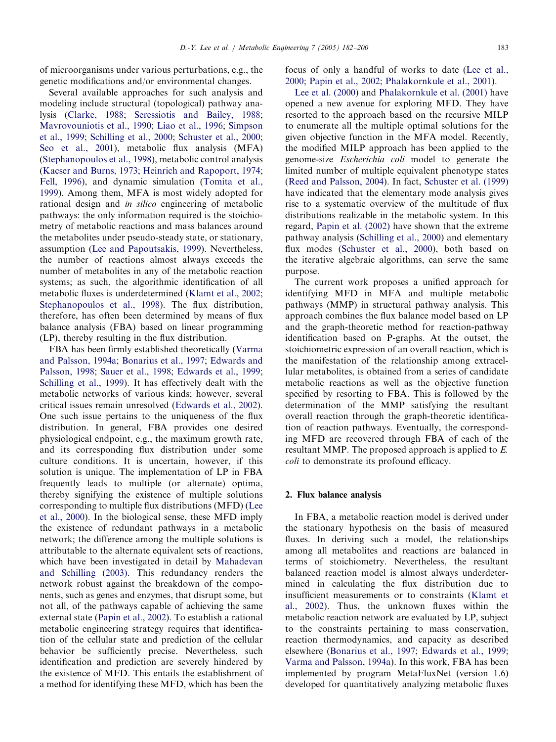of microorganisms under various perturbations, e.g., the genetic modifications and/or environmental changes.

Several available approaches for such analysis and modeling include structural (topological) pathway analysis ([Clarke, 1988;](#page-16-0) [Seressiotis and Bailey, 1988;](#page-18-0) [Mavrovouniotis et al., 1990](#page-17-0); [Liao et al., 1996;](#page-17-0) [Simpson](#page-18-0) [et al., 1999](#page-18-0); [Schilling et al., 2000;](#page-17-0) [Schuster et al., 2000;](#page-17-0) [Seo et al., 2001](#page-18-0)), metabolic flux analysis (MFA) ([Stephanopoulos et al., 1998](#page-18-0)), metabolic control analysis ([Kacser and Burns, 1973;](#page-17-0) [Heinrich and Rapoport, 1974;](#page-17-0) [Fell, 1996](#page-17-0)), and dynamic simulation ([Tomita et al.,](#page-18-0) [1999](#page-18-0)). Among them, MFA is most widely adopted for rational design and in silico engineering of metabolic pathways: the only information required is the stoichiometry of metabolic reactions and mass balances around the metabolites under pseudo-steady state, or stationary, assumption ([Lee and Papoutsakis, 1999](#page-17-0)). Nevertheless, the number of reactions almost always exceeds the number of metabolites in any of the metabolic reaction systems; as such, the algorithmic identification of all metabolic fluxes is underdetermined [\(Klamt et al., 2002;](#page-17-0) [Stephanopoulos et al., 1998](#page-18-0)). The flux distribution, therefore, has often been determined by means of flux balance analysis (FBA) based on linear programming  $(LP)$ , thereby resulting in the flux distribution.

FBA has been firmly established theoretically [\(Varma](#page-18-0) [and Palsson, 1994a;](#page-18-0) [Bonarius et al., 1997](#page-16-0); [Edwards and](#page-16-0) [Palsson, 1998](#page-16-0); [Sauer et al., 1998](#page-17-0); [Edwards et al., 1999;](#page-17-0) [Schilling et al., 1999\)](#page-17-0). It has effectively dealt with the metabolic networks of various kinds; however, several critical issues remain unresolved ([Edwards et al., 2002\)](#page-17-0). One such issue pertains to the uniqueness of the flux distribution. In general, FBA provides one desired physiological endpoint, e.g., the maximum growth rate, and its corresponding flux distribution under some culture conditions. It is uncertain, however, if this solution is unique. The implementation of LP in FBA frequently leads to multiple (or alternate) optima, thereby signifying the existence of multiple solutions corresponding to multiple flux distributions (MFD) [\(Lee](#page-17-0) [et al., 2000\)](#page-17-0). In the biological sense, these MFD imply the existence of redundant pathways in a metabolic network; the difference among the multiple solutions is attributable to the alternate equivalent sets of reactions, which have been investigated in detail by [Mahadevan](#page-17-0) [and Schilling \(2003\)](#page-17-0). This redundancy renders the network robust against the breakdown of the components, such as genes and enzymes, that disrupt some, but not all, of the pathways capable of achieving the same external state ([Papin et al., 2002\)](#page-17-0). To establish a rational metabolic engineering strategy requires that identification of the cellular state and prediction of the cellular behavior be sufficiently precise. Nevertheless, such identification and prediction are severely hindered by the existence of MFD. This entails the establishment of a method for identifying these MFD, which has been the

focus of only a handful of works to date [\(Lee et al.,](#page-17-0) [2000](#page-17-0); [Papin et al., 2002;](#page-17-0) [Phalakornkule et al., 2001](#page-17-0)).

[Lee et al. \(2000\)](#page-17-0) and [Phalakornkule et al. \(2001\)](#page-17-0) have opened a new avenue for exploring MFD. They have resorted to the approach based on the recursive MILP to enumerate all the multiple optimal solutions for the given objective function in the MFA model. Recently, the modified MILP approach has been applied to the genome-size Escherichia coli model to generate the limited number of multiple equivalent phenotype states ([Reed and Palsson, 2004](#page-17-0)). In fact, [Schuster et al. \(1999\)](#page-17-0) have indicated that the elementary mode analysis gives rise to a systematic overview of the multitude of flux distributions realizable in the metabolic system. In this regard, [Papin et al. \(2002\)](#page-17-0) have shown that the extreme pathway analysis [\(Schilling et al., 2000](#page-17-0)) and elementary flux modes ([Schuster et al., 2000](#page-17-0)), both based on the iterative algebraic algorithms, can serve the same purpose.

The current work proposes a unified approach for identifying MFD in MFA and multiple metabolic pathways (MMP) in structural pathway analysis. This approach combines the flux balance model based on LP and the graph-theoretic method for reaction-pathway identification based on P-graphs. At the outset, the stoichiometric expression of an overall reaction, which is the manifestation of the relationship among extracellular metabolites, is obtained from a series of candidate metabolic reactions as well as the objective function specified by resorting to FBA. This is followed by the determination of the MMP satisfying the resultant overall reaction through the graph-theoretic identification of reaction pathways. Eventually, the corresponding MFD are recovered through FBA of each of the resultant MMP. The proposed approach is applied to E. coli to demonstrate its profound efficacy.

# 2. Flux balance analysis

In FBA, a metabolic reaction model is derived under the stationary hypothesis on the basis of measured fluxes. In deriving such a model, the relationships among all metabolites and reactions are balanced in terms of stoichiometry. Nevertheless, the resultant balanced reaction model is almost always underdetermined in calculating the flux distribution due to insufficient measurements or to constraints ([Klamt et](#page-17-0) [al., 2002\)](#page-17-0). Thus, the unknown fluxes within the metabolic reaction network are evaluated by LP, subject to the constraints pertaining to mass conservation, reaction thermodynamics, and capacity as described elsewhere [\(Bonarius et al., 1997;](#page-16-0) [Edwards et al., 1999;](#page-17-0) [Varma and Palsson, 1994a\)](#page-18-0). In this work, FBA has been implemented by program MetaFluxNet (version 1.6) developed for quantitatively analyzing metabolic fluxes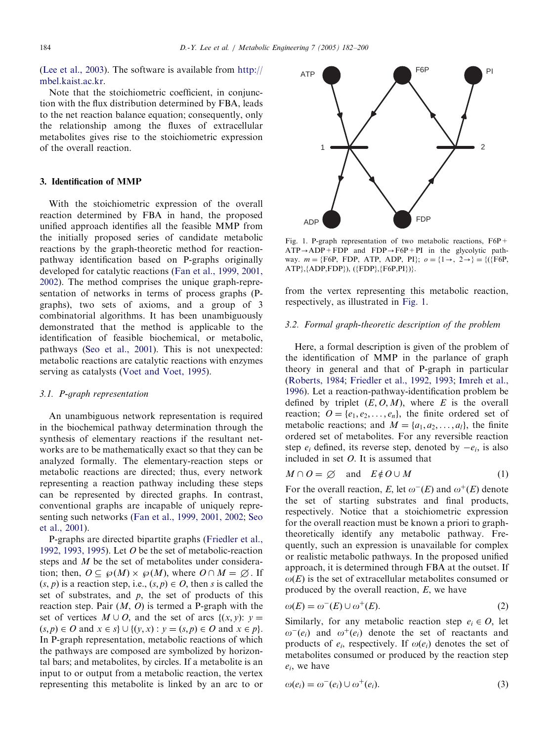([Lee et al., 2003](#page-17-0)). The software is available from [http://](http://mbel.kaist.ac.kr) [mbel.kaist.ac.kr](http://mbel.kaist.ac.kr).

Note that the stoichiometric coefficient, in conjunction with the flux distribution determined by FBA, leads to the net reaction balance equation; consequently, only the relationship among the fluxes of extracellular metabolites gives rise to the stoichiometric expression of the overall reaction.

# 3. Identification of MMP

With the stoichiometric expression of the overall reaction determined by FBA in hand, the proposed unified approach identifies all the feasible MMP from the initially proposed series of candidate metabolic reactions by the graph-theoretic method for reactionpathway identification based on P-graphs originally developed for catalytic reactions ([Fan et al., 1999, 2001,](#page-17-0) [2002](#page-17-0)). The method comprises the unique graph-representation of networks in terms of process graphs (Pgraphs), two sets of axioms, and a group of 3 combinatorial algorithms. It has been unambiguously demonstrated that the method is applicable to the identification of feasible biochemical, or metabolic, pathways ([Seo et al., 2001\)](#page-18-0). This is not unexpected: metabolic reactions are catalytic reactions with enzymes serving as catalysts [\(Voet and Voet, 1995\)](#page-18-0).

#### 3.1. P-graph representation

An unambiguous network representation is required in the biochemical pathway determination through the synthesis of elementary reactions if the resultant networks are to be mathematically exact so that they can be analyzed formally. The elementary-reaction steps or metabolic reactions are directed; thus, every network representing a reaction pathway including these steps can be represented by directed graphs. In contrast, conventional graphs are incapable of uniquely representing such networks [\(Fan et al., 1999, 2001, 2002;](#page-17-0) [Seo](#page-18-0) [et al., 2001\)](#page-18-0).

P-graphs are directed bipartite graphs ([Friedler et al.,](#page-17-0) [1992, 1993, 1995\)](#page-17-0). Let  $O$  be the set of metabolic-reaction steps and M be the set of metabolites under consideration; then,  $O \subseteq \wp(M) \times \wp(M)$ , where  $O \cap M = \emptyset$ . If  $(s, p)$  is a reaction step, i.e.,  $(s, p) \in O$ , then s is called the set of substrates, and  $p$ , the set of products of this reaction step. Pair  $(M, 0)$  is termed a P-graph with the set of vertices  $M \cup O$ , and the set of arcs  $\{(x, y): y =$  $(s, p) \in O$  and  $x \in s$   $\cup$   $\{(y, x) : y = (s, p) \in O \text{ and } x \in p\}.$ In P-graph representation, metabolic reactions of which the pathways are composed are symbolized by horizontal bars; and metabolites, by circles. If a metabolite is an input to or output from a metabolic reaction, the vertex representing this metabolite is linked by an arc to or



Fig. 1. P-graph representation of two metabolic reactions, F6P+  $ATP \rightarrow ADP + FDP$  and  $FDP \rightarrow F6P + PI$  in the glycolytic pathway.  $m = {F6P, FDP, ATP, ADP, PI}$ ;  $o = {1 \rightarrow, 2 \rightarrow} = {({F6P,}}$ ATP},{ADP,FDP}), ({FDP},{F6P,PI})}.

from the vertex representing this metabolic reaction, respectively, as illustrated in Fig. 1.

#### 3.2. Formal graph-theoretic description of the problem

Here, a formal description is given of the problem of the identification of MMP in the parlance of graph theory in general and that of P-graph in particular ([Roberts, 1984;](#page-17-0) [Friedler et al., 1992, 1993](#page-17-0); [Imreh et al.,](#page-17-0) [1996](#page-17-0)). Let a reaction-pathway-identification problem be defined by triplet  $(E, O, M)$ , where E is the overall reaction;  $O = \{e_1, e_2, \dots, e_n\}$ , the finite ordered set of metabolic reactions; and  $M = \{a_1, a_2, \ldots, a_l\}$ , the finite ordered set of metabolites. For any reversible reaction step  $e_i$  defined, its reverse step, denoted by  $-e_i$ , is also included in set O. It is assumed that

$$
M \cap O = \emptyset \quad \text{and} \quad E \notin O \cup M \tag{1}
$$

For the overall reaction, E, let  $\omega^{-}(E)$  and  $\omega^{+}(E)$  denote the set of starting substrates and final products, respectively. Notice that a stoichiometric expression for the overall reaction must be known a priori to graphtheoretically identify any metabolic pathway. Frequently, such an expression is unavailable for complex or realistic metabolic pathways. In the proposed unified approach, it is determined through FBA at the outset. If  $\omega(E)$  is the set of extracellular metabolites consumed or produced by the overall reaction, E, we have

$$
\omega(E) = \omega^-(E) \cup \omega^+(E). \tag{2}
$$

Similarly, for any metabolic reaction step  $e_i \in O$ , let  $\omega^{\dagger}(e_i)$  and  $\omega^{\dagger}(e_i)$  denote the set of reactants and products of  $e_i$ , respectively. If  $\omega(e_i)$  denotes the set of metabolites consumed or produced by the reaction step  $e_i$ , we have

$$
\omega(e_i) = \omega^-(e_i) \cup \omega^+(e_i). \tag{3}
$$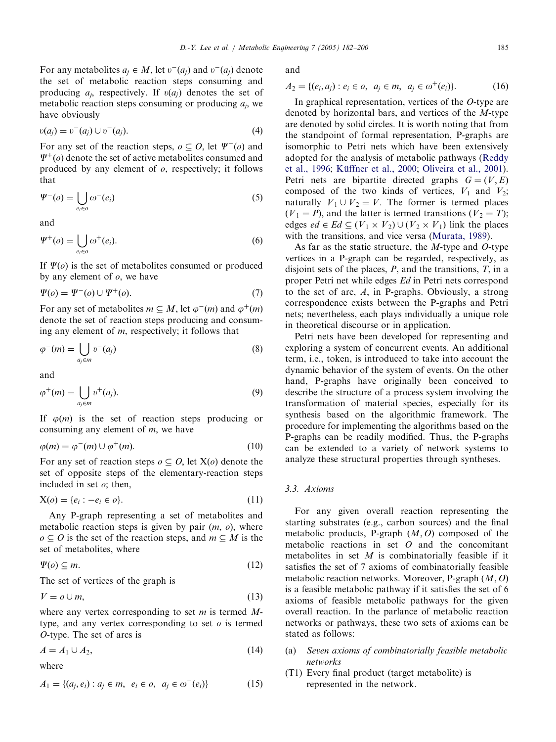For any metabolites  $a_i \in M$ , let  $v^-(a_i)$  and  $v^-(a_i)$  denote the set of metabolic reaction steps consuming and producing  $a_i$ , respectively. If  $v(a_i)$  denotes the set of metabolic reaction steps consuming or producing  $a_i$ , we have obviously

$$
v(a_j) = v^-(a_j) \cup v^-(a_j). \tag{4}
$$

For any set of the reaction steps,  $o \subseteq O$ , let  $\Psi^-(o)$  and  $\Psi^+(o)$  denote the set of active metabolites consumed and produced by any element of  $\rho$ , respectively; it follows that

$$
\Psi^-(o) = \bigcup_{e_i \in o} \omega^-(e_i) \tag{5}
$$

and

$$
\Psi^+(o) = \bigcup_{e_i \in o} \omega^+(e_i). \tag{6}
$$

If  $\Psi$ (*o*) is the set of metabolites consumed or produced by any element of  $o$ , we have

$$
\Psi(o) = \Psi^-(o) \cup \Psi^+(o). \tag{7}
$$

For any set of metabolites  $m \subseteq M$ , let  $\varphi^{-}(m)$  and  $\varphi^{+}(m)$ denote the set of reaction steps producing and consuming any element of  $m$ , respectively; it follows that

$$
\varphi^{-}(m) = \bigcup_{a_j \in m} \upsilon^{-}(a_j) \tag{8}
$$

and

$$
\varphi^+(m) = \bigcup_{a_j \in m} \nu^+(a_j). \tag{9}
$$

If  $\varphi(m)$  is the set of reaction steps producing or consuming any element of  $m$ , we have

$$
\varphi(m) = \varphi^-(m) \cup \varphi^+(m). \tag{10}
$$

For any set of reaction steps  $o \subseteq O$ , let  $X(o)$  denote the set of opposite steps of the elementary-reaction steps included in set  $o$ ; then,

$$
X(o) = \{e_i : -e_i \in o\}.
$$
 (11)

Any P-graph representing a set of metabolites and metabolic reaction steps is given by pair  $(m, o)$ , where  $o \subseteq O$  is the set of the reaction steps, and  $m \subseteq M$  is the set of metabolites, where

$$
\Psi(o) \subseteq m. \tag{12}
$$

The set of vertices of the graph is

$$
V = o \cup m,\tag{13}
$$

where any vertex corresponding to set  $m$  is termed  $M$ type, and any vertex corresponding to set  $o$  is termed O-type. The set of arcs is

$$
A = A_1 \cup A_2,\tag{14}
$$

where

$$
A_1 = \{(a_j, e_i) : a_j \in m, \ e_i \in o, \ a_j \in \omega^-(e_i)\}
$$
 (15)

and

 $A_2 = \{(e_i, a_i) : e_i \in o, \ a_i \in m, \ a_i \in \omega^+(e_i)\}.$  (16)

In graphical representation, vertices of the O-type are denoted by horizontal bars, and vertices of the M-type are denoted by solid circles. It is worth noting that from the standpoint of formal representation, P-graphs are isomorphic to Petri nets which have been extensively adopted for the analysis of metabolic pathways ([Reddy](#page-17-0) [et al., 1996;](#page-17-0) Küffner et al., 2000; [Oliveira et al., 2001\)](#page-17-0). Petri nets are bipartite directed graphs  $G = (V, E)$ composed of the two kinds of vertices,  $V_1$  and  $V_2$ ; naturally  $V_1 \cup V_2 = V$ . The former is termed places  $(V_1 = P)$ , and the latter is termed transitions  $(V_2 = T)$ ; edges  $ed \in Ed \subseteq (V_1 \times V_2) \cup (V_2 \times V_1)$  link the places with the transitions, and vice versa ([Murata, 1989\)](#page-17-0).

As far as the static structure, the  $M$ -type and  $O$ -type vertices in a P-graph can be regarded, respectively, as disjoint sets of the places,  $P$ , and the transitions,  $T$ , in a proper Petri net while edges Ed in Petri nets correspond to the set of arc,  $A$ , in P-graphs. Obviously, a strong correspondence exists between the P-graphs and Petri nets; nevertheless, each plays individually a unique role in theoretical discourse or in application.

Petri nets have been developed for representing and exploring a system of concurrent events. An additional term, i.e., token, is introduced to take into account the dynamic behavior of the system of events. On the other hand, P-graphs have originally been conceived to describe the structure of a process system involving the transformation of material species, especially for its synthesis based on the algorithmic framework. The procedure for implementing the algorithms based on the P-graphs can be readily modified. Thus, the P-graphs can be extended to a variety of network systems to analyze these structural properties through syntheses.

# 3.3. Axioms

For any given overall reaction representing the starting substrates (e.g., carbon sources) and the final metabolic products, P-graph  $(M, 0)$  composed of the metabolic reactions in set  $O$  and the concomitant metabolites in set  $M$  is combinatorially feasible if it satisfies the set of 7 axioms of combinatorially feasible metabolic reaction networks. Moreover, P-graph  $(M, O)$ is a feasible metabolic pathway if it satisfies the set of 6 axioms of feasible metabolic pathways for the given overall reaction. In the parlance of metabolic reaction networks or pathways, these two sets of axioms can be stated as follows:

- (a) Seven axioms of combinatorially feasible metabolic networks
- (T1) Every final product (target metabolite) is represented in the network.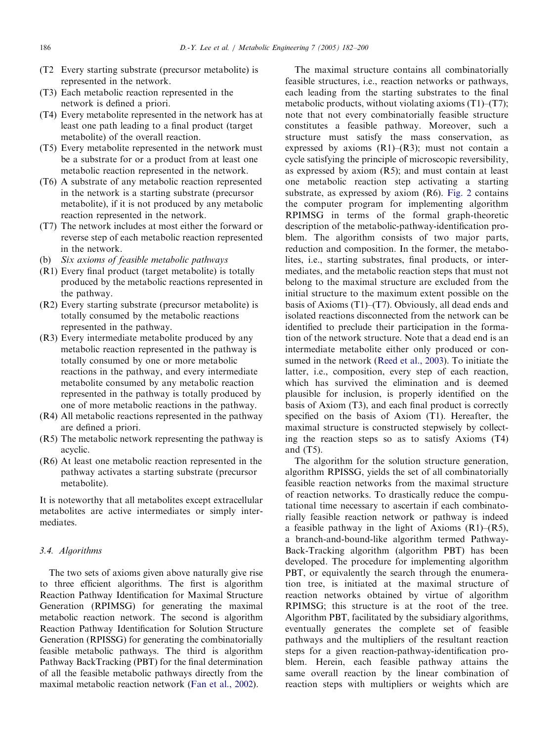- (T2 Every starting substrate (precursor metabolite) is represented in the network.
- (T3) Each metabolic reaction represented in the network is defined a priori.
- (T4) Every metabolite represented in the network has at least one path leading to a final product (target metabolite) of the overall reaction.
- (T5) Every metabolite represented in the network must be a substrate for or a product from at least one metabolic reaction represented in the network.
- (T6) A substrate of any metabolic reaction represented in the network is a starting substrate (precursor metabolite), if it is not produced by any metabolic reaction represented in the network.
- (T7) The network includes at most either the forward or reverse step of each metabolic reaction represented in the network.
- (b) Six axioms of feasible metabolic pathways
- (R1) Every final product (target metabolite) is totally produced by the metabolic reactions represented in the pathway.
- (R2) Every starting substrate (precursor metabolite) is totally consumed by the metabolic reactions represented in the pathway.
- (R3) Every intermediate metabolite produced by any metabolic reaction represented in the pathway is totally consumed by one or more metabolic reactions in the pathway, and every intermediate metabolite consumed by any metabolic reaction represented in the pathway is totally produced by one of more metabolic reactions in the pathway.
- (R4) All metabolic reactions represented in the pathway are defined a priori.
- (R5) The metabolic network representing the pathway is acyclic.
- (R6) At least one metabolic reaction represented in the pathway activates a starting substrate (precursor metabolite).

It is noteworthy that all metabolites except extracellular metabolites are active intermediates or simply intermediates.

## 3.4. Algorithms

The two sets of axioms given above naturally give rise to three efficient algorithms. The first is algorithm Reaction Pathway Identification for Maximal Structure Generation (RPIMSG) for generating the maximal metabolic reaction network. The second is algorithm Reaction Pathway Identification for Solution Structure Generation (RPISSG) for generating the combinatorially feasible metabolic pathways. The third is algorithm Pathway BackTracking (PBT) for the final determination of all the feasible metabolic pathways directly from the maximal metabolic reaction network [\(Fan et al., 2002\)](#page-17-0).

The maximal structure contains all combinatorially feasible structures, i.e., reaction networks or pathways, each leading from the starting substrates to the final metabolic products, without violating axioms  $(T1)$ – $(T7)$ ; note that not every combinatorially feasible structure constitutes a feasible pathway. Moreover, such a structure must satisfy the mass conservation, as expressed by axioms  $(R1)$ – $(R3)$ ; must not contain a cycle satisfying the principle of microscopic reversibility, as expressed by axiom (R5); and must contain at least one metabolic reaction step activating a starting substrate, as expressed by axiom (R6). [Fig. 2](#page-5-0) contains the computer program for implementing algorithm RPIMSG in terms of the formal graph-theoretic description of the metabolic-pathway-identification problem. The algorithm consists of two major parts, reduction and composition. In the former, the metabolites, i.e., starting substrates, final products, or intermediates, and the metabolic reaction steps that must not belong to the maximal structure are excluded from the initial structure to the maximum extent possible on the basis of Axioms (T1)–(T7). Obviously, all dead ends and isolated reactions disconnected from the network can be identified to preclude their participation in the formation of the network structure. Note that a dead end is an intermediate metabolite either only produced or consumed in the network [\(Reed et al., 2003](#page-17-0)). To initiate the latter, i.e., composition, every step of each reaction, which has survived the elimination and is deemed plausible for inclusion, is properly identified on the basis of Axiom (T3), and each final product is correctly specified on the basis of Axiom (T1). Hereafter, the maximal structure is constructed stepwisely by collecting the reaction steps so as to satisfy Axioms (T4) and (T5).

The algorithm for the solution structure generation, algorithm RPISSG, yields the set of all combinatorially feasible reaction networks from the maximal structure of reaction networks. To drastically reduce the computational time necessary to ascertain if each combinatorially feasible reaction network or pathway is indeed a feasible pathway in the light of Axioms  $(R1)$ – $(R5)$ , a branch-and-bound-like algorithm termed Pathway-Back-Tracking algorithm (algorithm PBT) has been developed. The procedure for implementing algorithm PBT, or equivalently the search through the enumeration tree, is initiated at the maximal structure of reaction networks obtained by virtue of algorithm RPIMSG; this structure is at the root of the tree. Algorithm PBT, facilitated by the subsidiary algorithms, eventually generates the complete set of feasible pathways and the multipliers of the resultant reaction steps for a given reaction-pathway-identification problem. Herein, each feasible pathway attains the same overall reaction by the linear combination of reaction steps with multipliers or weights which are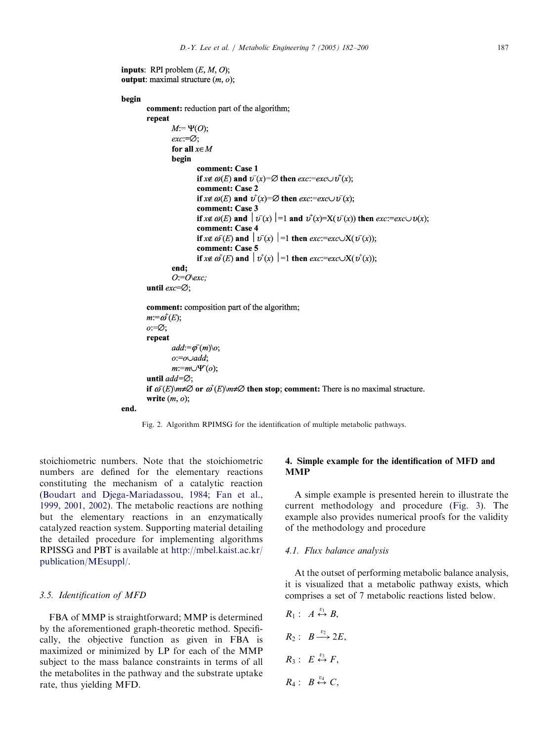```
inputs: RPI problem (E, M, O);
output: maximal structure (m, o);
```

```
begin
         comment: reduction part of the algorithm;
         repeat
                   M:=\Psi(O);exc = \varnothing;for all x \in Mbegin
                             comment: Case 1
                            if x \notin \omega(E) and v^-(x) = \emptyset then exc:=exc \cup v^+(x);
                             comment: Case 2
                             if x \notin \omega(E) and v^+(x) = \emptyset then exc:=exc \cup v^-(x);
                             comment: Case 3
                             if x \notin \omega(E) and |v(x)| = 1 and v^+(x) = X(v^-(x)) then exc:= exc \cup v(x);
                             comment: Case 4
                            if x \notin \omega^{-1}(E) and |v^{-1}(x)| = 1 then exc:=exc \cup X(v^{-1}(x));
                            comment: Case 5
                            if x \notin \omega^{\dagger}(E) and |v^{\dagger}(x)| = 1 then exc:=exc \cup X(v^{\dagger}(x));end:
                   O = O(\text{exc})until exc = \varnothing;
         comment: composition part of the algorithm;
         m:=\omega^+(E);o = \emptyset;
         repeat
                   add:=\overline{\varphi}(m)\backslash o;o:=o\cup add:m:=m\cup \Psi^r(o);
         until add = \emptyset;
         if \omega(E) or \omega^+(E) m \neq \emptyset then stop; comment: There is no maximal structure.
         write (m, o);
```




stoichiometric numbers. Note that the stoichiometric numbers are defined for the elementary reactions constituting the mechanism of a catalytic reaction ([Boudart and Djega-Mariadassou, 1984;](#page-16-0) [Fan et al.,](#page-17-0) [1999, 2001, 2002\)](#page-17-0). The metabolic reactions are nothing but the elementary reactions in an enzymatically catalyzed reaction system. Supporting material detailing the detailed procedure for implementing algorithms RPISSG and PBT is available at [http://mbel.kaist.ac.kr/](http://mbel.kaist.ac.kr/publication/MEsuppl/) [publication/MEsuppl/](http://mbel.kaist.ac.kr/publication/MEsuppl/).

## 3.5. Identification of MFD

FBA of MMP is straightforward; MMP is determined by the aforementioned graph-theoretic method. Specifically, the objective function as given in FBA is maximized or minimized by LP for each of the MMP subject to the mass balance constraints in terms of all the metabolites in the pathway and the substrate uptake rate, thus yielding MFD.

# 4. Simple example for the identification of MFD and **MMP**

A simple example is presented herein to illustrate the current methodology and procedure ([Fig. 3](#page-6-0)). The example also provides numerical proofs for the validity of the methodology and procedure

#### 4.1. Flux balance analysis

At the outset of performing metabolic balance analysis, it is visualized that a metabolic pathway exists, which comprises a set of 7 metabolic reactions listed below.

 $R_1: A \stackrel{v_1}{\leftrightarrow} B,$  $R_2: B \xrightarrow{v_2} 2E,$  $R_3: E \stackrel{v_3}{\leftrightarrow} F,$  $R_4: B \stackrel{v_4}{\leftrightarrow} C,$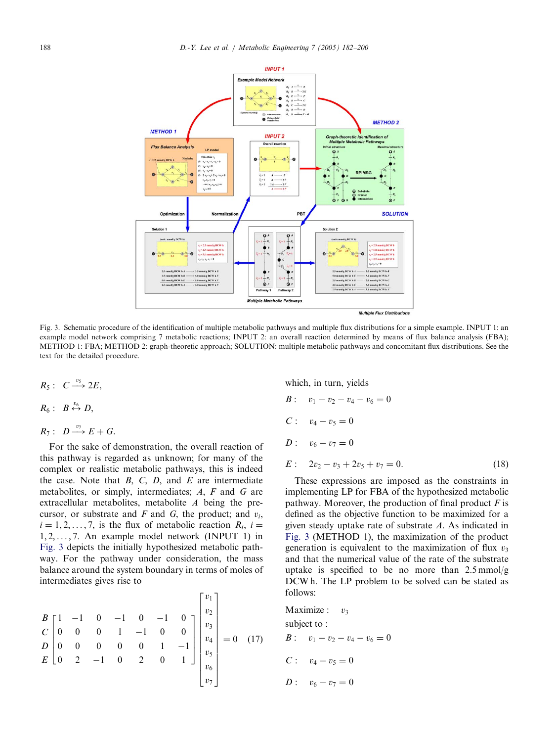<span id="page-6-0"></span>

Fig. 3. Schematic procedure of the identification of multiple metabolic pathways and multiple flux distributions for a simple example. INPUT 1: an example model network comprising 7 metabolic reactions; INPUT 2: an overall reaction determined by means of flux balance analysis (FBA); METHOD 1: FBA; METHOD 2: graph-theoretic approach; SOLUTION: multiple metabolic pathways and concomitant flux distributions. See the text for the detailed procedure.

- $R_5: C \longrightarrow 2E,$  $R_6: B \stackrel{v_6}{\leftrightarrow} D,$
- $R_7: D \xrightarrow{v_7} E+G.$

For the sake of demonstration, the overall reaction of this pathway is regarded as unknown; for many of the complex or realistic metabolic pathways, this is indeed the case. Note that  $B$ ,  $C$ ,  $D$ , and  $E$  are intermediate metabolites, or simply, intermediates; A, F and G are extracellular metabolites, metabolite A being the precursor, or substrate and  $F$  and  $G$ , the product; and  $v_i$ ,  $i = 1, 2, \ldots, 7$ , is the flux of metabolic reaction  $R_i$ ,  $i =$ 1; 2; ... ; 7: An example model network (INPUT 1) in Fig. 3 depicts the initially hypothesized metabolic pathway. For the pathway under consideration, the mass balance around the system boundary in terms of moles of intermediates gives rise to

$$
\begin{bmatrix}\nB \\
C \\
0 & 0 & 0 & 1 & -1 & 0 & 0 \\
D & 0 & 0 & 0 & 0 & 1 & -1 \\
E & 0 & 2 & -1 & 0 & 2 & 0 & 1\n\end{bmatrix}\n\begin{bmatrix}\nv_1 \\
v_2 \\
v_3 \\
v_4 \\
v_5 \\
v_6 \\
v_7\n\end{bmatrix} = 0 \quad (17)
$$

which, in turn, yields

B: 
$$
v_1 - v_2 - v_4 - v_6 = 0
$$
  
\nC:  $v_4 - v_5 = 0$   
\nD:  $v_6 - v_7 = 0$   
\nE:  $2v_2 - v_3 + 2v_5 + v_7 = 0$ . (18)

These expressions are imposed as the constraints in implementing LP for FBA of the hypothesized metabolic pathway. Moreover, the production of final product  $F$  is defined as the objective function to be maximized for a given steady uptake rate of substrate A. As indicated in Fig. 3 (METHOD 1), the maximization of the product generation is equivalent to the maximization of flux  $v_3$ and that the numerical value of the rate of the substrate uptake is specified to be no more than  $2.5 \text{ mmol/g}$ DCW h. The LP problem to be solved can be stated as follows:

Maximize: 
$$
v_3
$$
  
\nsubject to:  
\n $B: v_1 - v_2 - v_4 - v_6 = 0$   
\n $C: v_4 - v_5 = 0$   
\n $D: v_6 - v_7 = 0$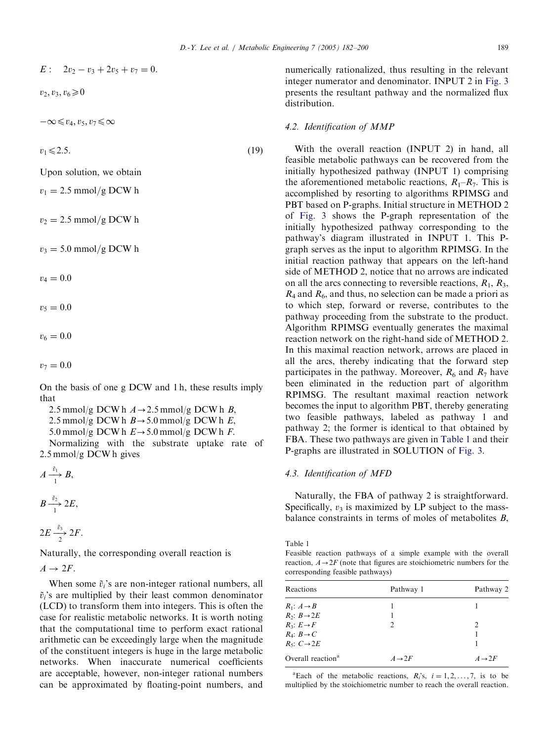<span id="page-7-0"></span>
$$
E: 2v_2 - v_3 + 2v_5 + v_7 = 0.
$$

 $v_2, v_3, v_6 \geq 0$ 

 $-\infty \leq v_4, v_5, v_7 \leq \infty$ 

 $v_1 \leq 2.5.$  (19)

Upon solution, we obtain

 $v_1 = 2.5$  mmol/g DCW h

 $v_2 = 2.5$  mmol/g DCW h

 $v_3 = 5.0$  mmol/g DCW h

 $v_4 = 0.0$ 

 $v_5 = 0.0$ 

 $v_6 = 0.0$ 

 $v_7 = 0.0$ 

On the basis of one g DCW and 1 h, these results imply that

2.5 mmol/g DCW h  $A \rightarrow 2.5$  mmol/g DCW h B, 2.5 mmol/g DCW h  $B \rightarrow 5.0$  mmol/g DCW h E,

5.0 mmol/g DCW h  $E \rightarrow 5.0$  mmol/g DCW h F.

Normalizing with the substrate uptake rate of 2.5 mmol/g DCW h gives

$$
A \xrightarrow[1]{\tilde{v}_1} B,
$$
  

$$
B \xrightarrow{\tilde{v}_2} 2E,
$$

1

$$
2E \xrightarrow[2]{\tilde{v}_3} 2F.
$$

Naturally, the corresponding overall reaction is

 $A \rightarrow 2F$ .

When some  $\tilde{v}_i$ 's are non-integer rational numbers, all  $\tilde{v}_i$ 's are multiplied by their least common denominator (LCD) to transform them into integers. This is often the case for realistic metabolic networks. It is worth noting that the computational time to perform exact rational arithmetic can be exceedingly large when the magnitude of the constituent integers is huge in the large metabolic networks. When inaccurate numerical coefficients are acceptable, however, non-integer rational numbers can be approximated by floating-point numbers, and numerically rationalized, thus resulting in the relevant integer numerator and denominator. INPUT 2 in [Fig. 3](#page-6-0) presents the resultant pathway and the normalized flux distribution.

#### 4.2. Identification of MMP

With the overall reaction (INPUT 2) in hand, all feasible metabolic pathways can be recovered from the initially hypothesized pathway (INPUT 1) comprising the aforementioned metabolic reactions,  $R_1-R_7$ . This is accomplished by resorting to algorithms RPIMSG and PBT based on P-graphs. Initial structure in METHOD 2 of [Fig. 3](#page-6-0) shows the P-graph representation of the initially hypothesized pathway corresponding to the pathway's diagram illustrated in INPUT 1. This Pgraph serves as the input to algorithm RPIMSG. In the initial reaction pathway that appears on the left-hand side of METHOD 2, notice that no arrows are indicated on all the arcs connecting to reversible reactions,  $R_1, R_3$ ,  $R_4$  and  $R_6$ , and thus, no selection can be made a priori as to which step, forward or reverse, contributes to the pathway proceeding from the substrate to the product. Algorithm RPIMSG eventually generates the maximal reaction network on the right-hand side of METHOD 2. In this maximal reaction network, arrows are placed in all the arcs, thereby indicating that the forward step participates in the pathway. Moreover,  $R_6$  and  $R_7$  have been eliminated in the reduction part of algorithm RPIMSG. The resultant maximal reaction network becomes the input to algorithm PBT, thereby generating two feasible pathways, labeled as pathway 1 and pathway 2; the former is identical to that obtained by FBA. These two pathways are given in Table 1 and their P-graphs are illustrated in SOLUTION of [Fig. 3](#page-6-0).

#### 4.3. Identification of MFD

Naturally, the FBA of pathway 2 is straightforward. Specifically,  $v_3$  is maximized by LP subject to the massbalance constraints in terms of moles of metabolites B,

Table 1

Feasible reaction pathways of a simple example with the overall reaction,  $A \rightarrow 2F$  (note that figures are stoichiometric numbers for the corresponding feasible pathways)

| Reactions                     | Pathway 1         | Pathway 2          |
|-------------------------------|-------------------|--------------------|
| $R_1$ : $A \rightarrow B$     |                   |                    |
| $R_2$ : $B\rightarrow 2E$     |                   |                    |
| $R_3$ : $E \rightarrow F$     | $\mathcal{D}$     | 2                  |
| $R_4$ : $B \rightarrow C$     |                   |                    |
| $R_5$ : $C\rightarrow 2E$     |                   |                    |
| Overall reaction <sup>a</sup> | $A\rightarrow 2F$ | $A \rightarrow 2F$ |

<sup>a</sup>Each of the metabolic reactions,  $R_i$ 's,  $i = 1, 2, ..., 7$ , is to be multiplied by the stoichiometric number to reach the overall reaction.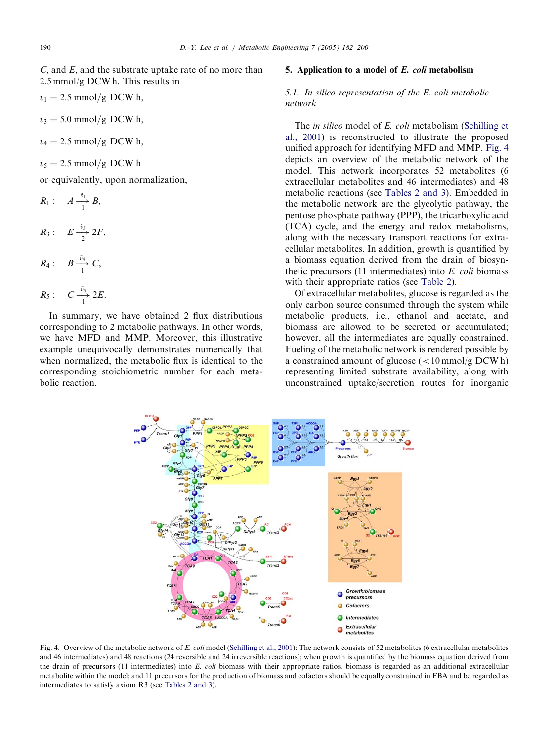<span id="page-8-0"></span>C, and E, and the substrate uptake rate of no more than 2.5 mmol/g DCW h. This results in

 $v_1 = 2.5$  mmol/g DCW h,

 $v_3 = 5.0$  mmol/g DCW h,

 $v_4 = 2.5$  mmol/g DCW h,

 $v_5 = 2.5$  mmol/g DCW h

or equivalently, upon normalization,

$$
R_1: A \xrightarrow{c_1} B,
$$
  
\n
$$
R_3: E \xrightarrow{ \tilde{v}_3} 2F,
$$
  
\n
$$
R_4: B \xrightarrow{\tilde{v}_4} C,
$$

 $\tilde{n}$ 

$$
R_5: \quad C \xrightarrow[1]{\tilde{v}_5} 2E.
$$

In summary, we have obtained 2 flux distributions corresponding to 2 metabolic pathways. In other words, we have MFD and MMP. Moreover, this illustrative example unequivocally demonstrates numerically that when normalized, the metabolic flux is identical to the corresponding stoichiometric number for each metabolic reaction.

#### 5. Application to a model of E. coli metabolism

# 5.1. In silico representation of the E. coli metabolic network

The *in silico* model of *E. coli* metabolism [\(Schilling et](#page-17-0) [al., 2001](#page-17-0)) is reconstructed to illustrate the proposed unified approach for identifying MFD and MMP. Fig. 4 depicts an overview of the metabolic network of the model. This network incorporates 52 metabolites (6 extracellular metabolites and 46 intermediates) and 48 metabolic reactions (see [Tables 2 and 3](#page-9-0)). Embedded in the metabolic network are the glycolytic pathway, the pentose phosphate pathway (PPP), the tricarboxylic acid (TCA) cycle, and the energy and redox metabolisms, along with the necessary transport reactions for extracellular metabolites. In addition, growth is quantified by a biomass equation derived from the drain of biosynthetic precursors (11 intermediates) into E. coli biomass with their appropriate ratios (see [Table 2](#page-9-0)).

Of extracellular metabolites, glucose is regarded as the only carbon source consumed through the system while metabolic products, i.e., ethanol and acetate, and biomass are allowed to be secreted or accumulated; however, all the intermediates are equally constrained. Fueling of the metabolic network is rendered possible by a constrained amount of glucose  $\left($  < 10 mmol/g DCW h) representing limited substrate availability, along with unconstrained uptake/secretion routes for inorganic



Fig. 4. Overview of the metabolic network of E. coli model [\(Schilling et al., 2001\)](#page-17-0): The network consists of 52 metabolites (6 extracellular metabolites and 46 intermediates) and 48 reactions (24 reversible and 24 irreversible reactions); when growth is quantified by the biomass equation derived from the drain of precursors (11 intermediates) into E. coli biomass with their appropriate ratios, biomass is regarded as an additional extracellular metabolite within the model; and 11 precursors for the production of biomass and cofactors should be equally constrained in FBA and be regarded as intermediates to satisfy axiom R3 (see [Tables 2 and 3](#page-9-0)).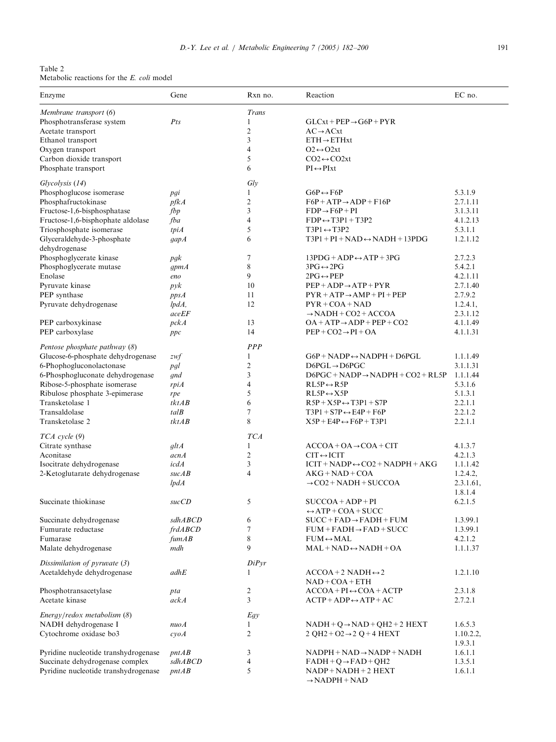<span id="page-9-0"></span>Table 2 Metabolic reactions for the E. coli model

| Enzyme                                      | Gene                     | Rxn no.        | Reaction                                                  | EC no.    |
|---------------------------------------------|--------------------------|----------------|-----------------------------------------------------------|-----------|
| Membrane transport (6)                      |                          | Trans          |                                                           |           |
| Phosphotransferase system                   | $P$ ts                   | 1              | $GLCxt + PEP \rightarrow G6P + PYR$                       |           |
| Acetate transport                           |                          | $\overline{2}$ | $AC \rightarrow ACxt$                                     |           |
| Ethanol transport                           |                          | 3              | $ETH \rightarrow ETHxt$                                   |           |
| Oxygen transport                            |                          | 4              | $Q2 \leftrightarrow Q2xt$                                 |           |
| Carbon dioxide transport                    |                          | 5              | $CO2 \leftrightarrow CO2xt$                               |           |
| Phosphate transport                         |                          | 6              | $PI \leftrightarrow PIxt$                                 |           |
| Glycolysis (14)                             |                          | Gly            |                                                           |           |
| Phosphoglucose isomerase                    | pgi                      | 1              | $G6P \leftrightarrow F6P$                                 | 5.3.1.9   |
| Phosphafructokinase                         | pfkA                     | $\overline{2}$ | $F6P + ATP \rightarrow ADP + F16P$                        | 2.7.1.11  |
| Fructose-1,6-bisphosphatase                 | fbp                      | 3              | $FDP \rightarrow F6P + PI$                                | 3.1.3.11  |
| Fructose-1,6-bisphophate aldolase           | fba                      | 4              | $FDP \leftrightarrow T3P1 + T3P2$                         | 4.1.2.13  |
| Triosphosphate isomerase                    | tpiA                     | 5              | $T3P1 \leftrightarrow T3P2$                               | 5.3.1.1   |
| Glyceraldehyde-3-phosphate<br>dehydrogenase | gapA                     | 6              | $T3P1 + PI + NAD \leftrightarrow NADH + 13PDG$            | 1.2.1.12  |
| Phosphoglycerate kinase                     | p g k                    | 7              | $13PDG + ADP \leftrightarrow ATP + 3PG$                   | 2.7.2.3   |
| Phosphoglycerate mutase                     | gpmA                     | 8              | $3PG \leftrightarrow 2PG$                                 | 5.4.2.1   |
| Enolase                                     | eno                      | 9              | $2PG \leftrightarrow PEP$                                 | 4.2.1.11  |
| Pyruvate kinase                             | pyk                      | 10             | $PEP + ADP \rightarrow ATP + PYR$                         | 2.7.1.40  |
| PEP synthase                                | ppsA                     | 11             | $PYR + ATP \rightarrow AMP + PI + PEP$                    | 2.7.9.2   |
| Pyruvate dehydrogenase                      | lpdA,                    | 12             | $PYR + COA + NAD$                                         | 1.2.4.1,  |
|                                             | aceEF                    |                | $\rightarrow$ NADH + CO2 + ACCOA                          | 2.3.1.12  |
| PEP carboxykinase                           | pckA                     | 13             | $OA + ATP \rightarrow ADP + PEP + CO2$                    | 4.1.1.49  |
| PEP carboxylase                             | ppc                      | 14             | $PEP + CO2 \rightarrow PI + OA$                           | 4.1.1.31  |
| Pentose phosphate pathway (8)               |                          | <b>PPP</b>     |                                                           |           |
| Glucose-6-phosphate dehydrogenase           | zwf                      | 1              | $G6P + NADP \leftrightarrow NADPH + D6PGL$                | 1.1.1.49  |
| 6-Phophogluconolactonase                    | pgl                      | 2              | $D6PGL \rightarrow D6PGC$                                 | 3.1.1.31  |
| 6-Phosphogluconate dehydrogenase            | gnd                      | 3              | $D6PGC + NADP \rightarrow NADPH + CO2 + RL5P$             | 1.1.1.44  |
| Ribose-5-phosphate isomerase                | rpiA                     | 4              | $RL5P \leftrightarrow R5P$                                | 5.3.1.6   |
| Ribulose phosphate 3-epimerase              | rpe                      | 5              | $RL5P \leftrightarrow X5P$                                | 5.1.3.1   |
| Transketolase 1                             | tkt AB                   | 6              | $R5P+X5P \leftrightarrow T3P1+STP$                        | 2.2.1.1   |
| Transaldolase                               | $t$ al $B$               | 7              | $T3P1 + STP \leftrightarrow E4P + F6P$                    | 2.2.1.2   |
| Transketolase 2                             | tkt AB                   | 8              | $X5P + E4P \leftrightarrow F6P + T3P1$                    | 2.2.1.1   |
| $TCA$ cycle $(9)$                           |                          | <b>TCA</b>     |                                                           |           |
| Citrate synthase                            | gltA                     | 1              | $ACCOA + OA \rightarrow COA + CIT$                        | 4.1.3.7   |
| Aconitase                                   | acnA                     | 2              | $CIT \leftrightarrow ICIT$                                | 4.2.1.3   |
| Isocitrate dehydrogenase                    | icdA                     | 3              | $ICIT + NADP \leftrightarrow CO2 + NADPH + AKG$           | 1.1.1.42  |
| 2-Ketoglutarate dehydrogenase               | sucAB                    | 4              | $AKG + NAD + COA$                                         | 1.2.4.2,  |
|                                             | lpdA                     |                | $\rightarrow$ CO2 + NADH + SUCCOA                         | 2.3.1.61, |
|                                             |                          |                |                                                           | 1.8.1.4   |
| Succinate thiokinase                        | succCD                   | 5              | $SUCCOA + ADP + PI$<br>$\leftrightarrow$ ATP + COA + SUCC | 6.2.1.5   |
| Succinate dehydrogenase                     | sdhABCD                  | 6              | $SUCC + FAD \rightarrow FADH + FUM$                       | 1.3.99.1  |
| Fumurate reductase                          | frdABCD                  | 7              | $FUM + FADH \rightarrow FAD + SUCC$                       | 1.3.99.1  |
| Fumarase                                    | $f \cup A B$             | 8              | $FUM \leftrightarrow MAL$                                 | 4.2.1.2   |
| Malate dehydrogenase                        | mdh                      | 9              | $MAL + NAD \leftrightarrow NADH + OA$                     | 1.1.1.37  |
| Dissimilation of pyruvate (3)               |                          | DiPyr          |                                                           |           |
| Acetaldehyde dehydrogenase                  | adhE                     |                | $ACCOA + 2$ NADH $\leftrightarrow$ 2                      | 1.2.1.10  |
|                                             |                          |                | $NAD + COA + ETH$                                         |           |
| Phosphotransacetylase                       | pta                      | 2              | $ACCOA + PI \leftrightarrow COA + ACTP$                   | 2.3.1.8   |
| Acetate kinase                              | ackA                     | 3              | $ACTP + ADP \leftrightarrow ATP + AC$                     | 2.7.2.1   |
| Energy/redox metabolism (8)                 |                          | Egy            |                                                           |           |
| NADH dehydrogenase I                        | nuoA                     | 1              | $NADH + Q \rightarrow NAD + QH2 + 2 HEXT$                 | 1.6.5.3   |
| Cytochrome oxidase bo3                      | $c\mathcal{V}$ <i>oA</i> | $\overline{c}$ | 2 QH2+O2 $\rightarrow$ 2 Q+4 HEXT                         | 1.10.2.2, |
|                                             |                          |                |                                                           | 1.9.3.1   |
| Pyridine nucleotide transhydrogenase        | pntAB                    | 3              | $NADPH + NAD \rightarrow NADP + NADH$                     | 1.6.1.1   |
| Succinate dehydrogenase complex             | sdhABCD                  | 4              | $FADH + Q \rightarrow FAD + QH2$                          | 1.3.5.1   |
| Pyridine nucleotide transhydrogenase        | pntAB                    | 5              | $NADP + NADH + 2 HEXT$<br>$\rightarrow$ NADPH + NAD       | 1.6.1.1   |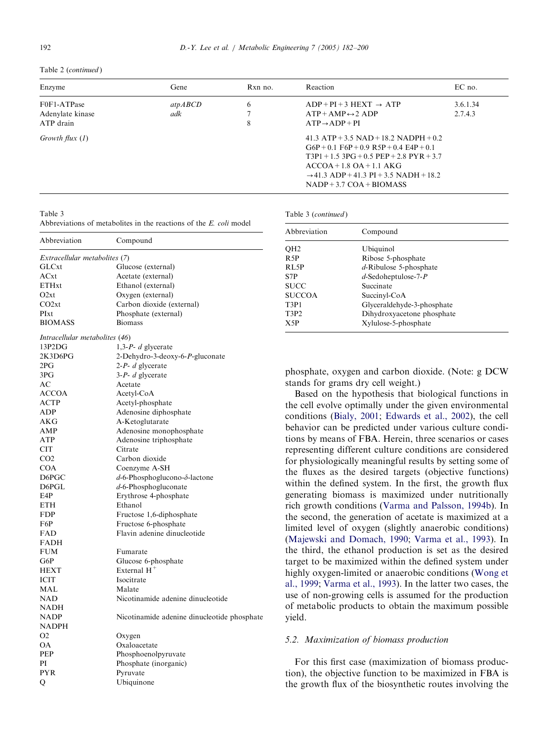## Table 2 (continued )

| Enzyme                                       | Gene            | $Rxn$ no. | Reaction                                                                                                                                                                                                                                                        | EC no.              |
|----------------------------------------------|-----------------|-----------|-----------------------------------------------------------------------------------------------------------------------------------------------------------------------------------------------------------------------------------------------------------------|---------------------|
| F0F1-ATPase<br>Adenylate kinase<br>ATP drain | at pABCD<br>adk | 6<br>8    | $ADP + PI + 3 HEXT \rightarrow ATP$<br>$ATP + AMP \leftrightarrow 2 ADP$<br>$ATP \rightarrow ADP + PI$                                                                                                                                                          | 3.6.1.34<br>2.7.4.3 |
| Growth flux $(1)$                            |                 |           | 41.3 $ATP + 3.5$ $NAD + 18.2$ $NADPH + 0.2$<br>$G6P + 0.1$ F6P + 0.9 R5P + 0.4 E4P + 0.1<br>$T3P1 + 1.5$ $3PG + 0.5$ $PEP + 2.8$ $PYR + 3.7$<br>$ACCOA + 1.8 OA + 1.1 AKG$<br>$\rightarrow$ 41.3 ADP + 41.3 PI + 3.5 NADH + 18.2<br>$NADP + 3.7 COA + B IOMASS$ |                     |

Table 3 (continued)

Abbreviation Compound

## Table 3

Abbreviations of metabolites in the reactions of the E. coli model

| Abbreviation                           | Compound                                    |                                       |                                                              |
|----------------------------------------|---------------------------------------------|---------------------------------------|--------------------------------------------------------------|
|                                        |                                             | QH2                                   | Ubiquinol                                                    |
| Extracellular metabolites (7)<br>GLCxt | Glucose (external)                          | R <sub>5</sub> P<br>RL5P              | Ribose 5-phosphate                                           |
| ACxt                                   | Acetate (external)                          | S7P                                   | $d$ -Ribulose 5-phosphate<br>$d$ -Sedoheptulose-7-P          |
| <b>ETHxt</b>                           | Ethanol (external)                          | <b>SUCC</b>                           | Succinate                                                    |
| O2xt                                   | Oxygen (external)                           | <b>SUCCOA</b>                         | Succinyl-CoA                                                 |
| CO2xt                                  | Carbon dioxide (external)                   |                                       | Glyceraldehyde-3-phosphate                                   |
| PIxt                                   | Phosphate (external)                        | T3P1<br>T <sub>3</sub> P <sub>2</sub> |                                                              |
| <b>BIOMASS</b>                         | <b>Biomass</b>                              | X5P                                   | Dihydroxyacetone phosphate<br>Xylulose-5-phosphate           |
| Intracellular metabolites (46)         |                                             |                                       |                                                              |
| 13P2DG                                 | 1,3- $P$ - $d$ glycerate                    |                                       |                                                              |
| 2K3D6PG                                | 2-Dehydro-3-deoxy-6-P-gluconate             |                                       |                                                              |
| 2PG                                    | $2-P - d$ glycerate                         |                                       |                                                              |
| 3PG                                    | $3-P- d$ glycerate                          |                                       | phosphate, oxygen and carbon dioxide. (Note: g DCW           |
| AC                                     | Acetate                                     |                                       | stands for grams dry cell weight.)                           |
| <b>ACCOA</b>                           | Acetyl-CoA                                  |                                       | Based on the hypothesis that biological functions in         |
| <b>ACTP</b>                            | Acetyl-phosphate                            |                                       | the cell evolve optimally under the given environmental      |
| ADP                                    | Adenosine diphosphate                       |                                       | conditions (Bialy, 2001; Edwards et al., 2002), the cell     |
| <b>AKG</b>                             | A-Ketoglutarate                             |                                       |                                                              |
| AMP                                    | Adenosine monophosphate                     |                                       | behavior can be predicted under various culture condi-       |
| <b>ATP</b>                             | Adenosine triphosphate                      |                                       | tions by means of FBA. Herein, three scenarios or cases      |
| <b>CIT</b>                             | Citrate                                     |                                       | representing different culture conditions are considered     |
| CO <sub>2</sub>                        | Carbon dioxide                              |                                       | for physiologically meaningful results by setting some of    |
| <b>COA</b>                             | Coenzyme A-SH                               |                                       | the fluxes as the desired targets (objective functions)      |
| D6PGC                                  | $d$ -6-Phosphoglucono- $\delta$ -lactone    |                                       |                                                              |
| D6PGL                                  | $d$ -6-Phosphogluconate                     |                                       | within the defined system. In the first, the growth flux     |
| E4P                                    | Erythrose 4-phosphate                       |                                       | generating biomass is maximized under nutritionally          |
| <b>ETH</b>                             | Ethanol                                     |                                       | rich growth conditions (Varma and Palsson, 1994b). In        |
| <b>FDP</b>                             | Fructose 1,6-diphosphate                    |                                       | the second, the generation of acetate is maximized at a      |
| F6P                                    | Fructose 6-phosphate                        |                                       | limited level of oxygen (slightly anaerobic conditions)      |
| FAD                                    | Flavin adenine dinucleotide                 |                                       |                                                              |
| <b>FADH</b>                            |                                             |                                       | (Majewski and Domach, 1990; Varma et al., 1993). In          |
| <b>FUM</b>                             | Fumarate                                    |                                       | the third, the ethanol production is set as the desired      |
| G6P                                    | Glucose 6-phosphate                         |                                       | target to be maximized within the defined system under       |
| <b>HEXT</b>                            | External $H^+$                              |                                       | highly oxygen-limited or anaerobic conditions (Wong et       |
| <b>ICIT</b>                            | Isocitrate                                  |                                       | al., 1999; Varma et al., 1993). In the latter two cases, the |
| MAL                                    | Malate                                      |                                       |                                                              |
| <b>NAD</b>                             | Nicotinamide adenine dinucleotide           |                                       | use of non-growing cells is assumed for the production       |
| <b>NADH</b>                            |                                             |                                       | of metabolic products to obtain the maximum possible         |
| <b>NADP</b>                            | Nicotinamide adenine dinucleotide phosphate | yield.                                |                                                              |
| <b>NADPH</b>                           |                                             |                                       |                                                              |
| O <sub>2</sub>                         | Oxygen                                      |                                       | 5.2. Maximization of biomass production                      |
| OA                                     | Oxaloacetate                                |                                       |                                                              |
| PEP                                    | Phosphoenolpyruvate                         |                                       |                                                              |
| PI                                     | Phosphate (inorganic)                       |                                       | For this first case (maximization of biomass produc-         |
| <b>PYR</b>                             | Pyruvate                                    |                                       | tion), the objective function to be maximized in FBA is      |
| Q                                      | Ubiquinone                                  |                                       | the growth flux of the biosynthetic routes involving the     |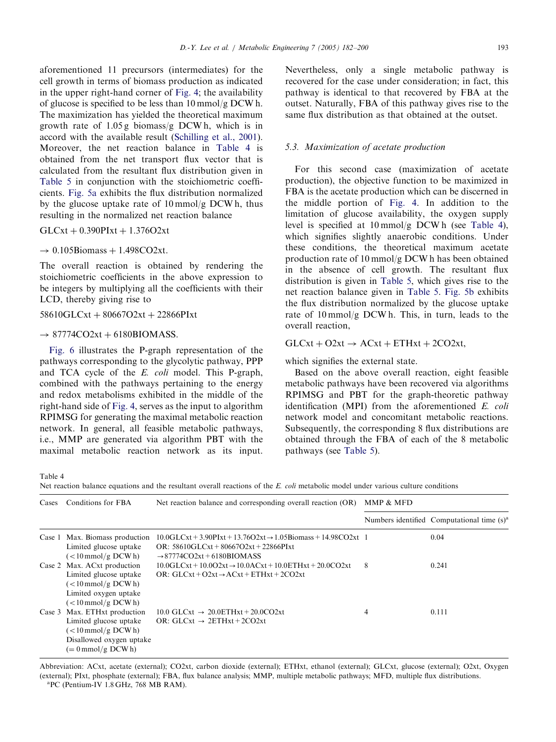<span id="page-11-0"></span>aforementioned 11 precursors (intermediates) for the cell growth in terms of biomass production as indicated in the upper right-hand corner of [Fig. 4;](#page-8-0) the availability of glucose is specified to be less than 10 mmol/g DCW h. The maximization has yielded the theoretical maximum growth rate of 1.05 g biomass/g DCW h, which is in accord with the available result ([Schilling et al., 2001\)](#page-17-0). Moreover, the net reaction balance in Table 4 is obtained from the net transport flux vector that is calculated from the resultant flux distribution given in [Table 5](#page-12-0) in conjunction with the stoichiometric coefficients. [Fig. 5a](#page-13-0) exhibits the flux distribution normalized by the glucose uptake rate of 10 mmol/g DCW h, thus resulting in the normalized net reaction balance

 $GLCxt + 0.390$ PIxt + 1.376O2xt

#### $\rightarrow$  0.105Biomass + 1.498CO2xt.

The overall reaction is obtained by rendering the stoichiometric coefficients in the above expression to be integers by multiplying all the coefficients with their LCD, thereby giving rise to

 $58610GLCxt + 80667O2xt + 22866PIxt$ 

#### $\rightarrow$  87774CO2xt + 6180BIOMASS.

[Fig. 6](#page-13-0) illustrates the P-graph representation of the pathways corresponding to the glycolytic pathway, PPP and TCA cycle of the E. coli model. This P-graph, combined with the pathways pertaining to the energy and redox metabolisms exhibited in the middle of the right-hand side of [Fig. 4](#page-8-0), serves as the input to algorithm RPIMSG for generating the maximal metabolic reaction network. In general, all feasible metabolic pathways, i.e., MMP are generated via algorithm PBT with the maximal metabolic reaction network as its input.

Nevertheless, only a single metabolic pathway is recovered for the case under consideration; in fact, this pathway is identical to that recovered by FBA at the outset. Naturally, FBA of this pathway gives rise to the same flux distribution as that obtained at the outset.

### 5.3. Maximization of acetate production

For this second case (maximization of acetate production), the objective function to be maximized in FBA is the acetate production which can be discerned in the middle portion of [Fig. 4](#page-8-0). In addition to the limitation of glucose availability, the oxygen supply level is specified at 10 mmol/g DCW h (see Table 4), which signifies slightly anaerobic conditions. Under these conditions, the theoretical maximum acetate production rate of 10 mmol/g DCW h has been obtained in the absence of cell growth. The resultant flux distribution is given in [Table 5,](#page-12-0) which gives rise to the net reaction balance given in [Table 5.](#page-12-0) [Fig. 5b](#page-13-0) exhibits the flux distribution normalized by the glucose uptake rate of 10 mmol/g DCW h. This, in turn, leads to the overall reaction,

# $GLCxt + O2xt \rightarrow ACxt + ETHxt + 2CO2xt,$

which signifies the external state.

Based on the above overall reaction, eight feasible metabolic pathways have been recovered via algorithms RPIMSG and PBT for the graph-theoretic pathway identification (MPI) from the aforementioned E. coli network model and concomitant metabolic reactions. Subsequently, the corresponding 8 flux distributions are obtained through the FBA of each of the 8 metabolic pathways (see [Table 5\)](#page-12-0).

Table 4

Net reaction balance equations and the resultant overall reactions of the E. coli metabolic model under various culture conditions

| Cases  | Conditions for FBA                                                                                                                                   | Net reaction balance and corresponding overall reaction (OR)                                                                                                           | MMP & MFD |                                                        |  |  |
|--------|------------------------------------------------------------------------------------------------------------------------------------------------------|------------------------------------------------------------------------------------------------------------------------------------------------------------------------|-----------|--------------------------------------------------------|--|--|
|        |                                                                                                                                                      |                                                                                                                                                                        |           | Numbers identified Computational time (s) <sup>a</sup> |  |  |
|        | Case 1 Max. Biomass production<br>Limited glucose uptake<br>$(<10 \,\mathrm{mmol/g}$ DCWh)                                                           | $10.0$ GLCxt + 3.90PLxt + 13.76O2xt $\rightarrow$ 1.05Biomass + 14.98CO2xt 1<br>OR: $58610$ GLCxt + $80667$ O2xt + 22866PIxt<br>$\rightarrow$ 87774CO2xt + 6180BIOMASS |           | 0.04                                                   |  |  |
|        | Case 2 Max. ACxt production<br>Limited glucose uptake<br>$(<10 \,\mathrm{mmol/g}$ DCWh)<br>Limited oxygen uptake<br>$\left($ < 10 mmol/g DCW h)      | $10.0$ GLCxt + $10.0$ O2xt $\rightarrow$ 10.0ACxt + 10.0ETHxt + 20.0CO2xt<br>OR: GLCxt + O2xt $\rightarrow$ ACxt + ETHxt + 2CO2xt                                      | 8         | 0.241                                                  |  |  |
| Case 3 | Max. ETHxt production<br>Limited glucose uptake<br>$(<10 \,\mathrm{mmol/g}$ DCW h)<br>Disallowed oxygen uptake<br>$(= 0 \,\mathrm{mmol/g} \, DCW h)$ | 10.0 GLCxt $\rightarrow$ 20.0ETHxt + 20.0CO2xt<br>OR: GLCxt $\rightarrow$ 2ETHxt + 2CO2xt                                                                              | 4         | 0.111                                                  |  |  |

Abbreviation: ACxt, acetate (external); CO2xt, carbon dioxide (external); ETHxt, ethanol (external); GLCxt, glucose (external); O2xt, Oxygen (external); PIxt, phosphate (external); FBA, flux balance analysis; MMP, multiple metabolic pathways; MFD, multiple flux distributions. <sup>a</sup> <sup>a</sup>PC (Pentium-IV 1.8 GHz, 768 MB RAM).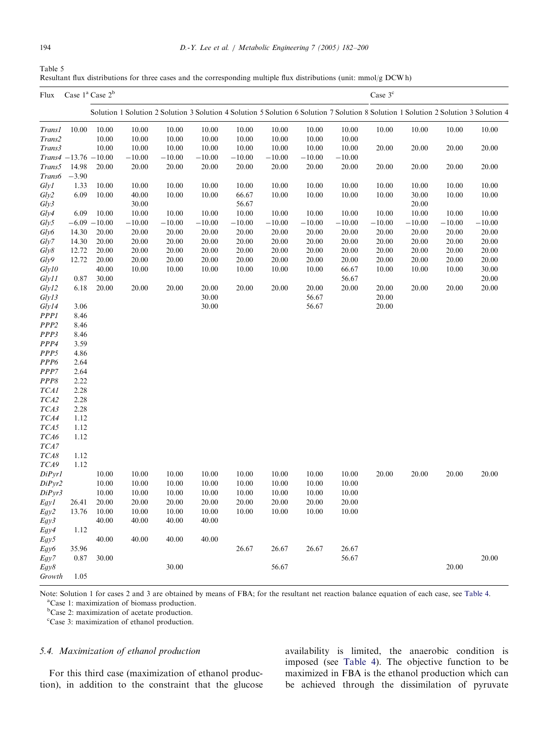<span id="page-12-0"></span>

| Table 5                                                                                                             |  |  |
|---------------------------------------------------------------------------------------------------------------------|--|--|
| Resultant flux distributions for three cases and the corresponding multiple flux distributions (unit: mmol/g DCW h) |  |  |

| Flux             |                          | Case 1 <sup>ª</sup> Case 2 <sup>b</sup> |          |          |          |          |          |          | Case 3 <sup>c</sup> |          |          |          |                                                                                                                                     |
|------------------|--------------------------|-----------------------------------------|----------|----------|----------|----------|----------|----------|---------------------|----------|----------|----------|-------------------------------------------------------------------------------------------------------------------------------------|
|                  |                          |                                         |          |          |          |          |          |          |                     |          |          |          | Solution 1 Solution 2 Solution 3 Solution 4 Solution 5 Solution 6 Solution 7 Solution 8 Solution 1 Solution 2 Solution 3 Solution 4 |
| <b>Trans1</b>    | 10.00                    | 10.00                                   | 10.00    | 10.00    | 10.00    | 10.00    | 10.00    | 10.00    | 10.00               | 10.00    | 10.00    | 10.00    | 10.00                                                                                                                               |
| Trans2           |                          | 10.00                                   | 10.00    | 10.00    | 10.00    | 10.00    | 10.00    | 10.00    | 10.00               |          |          |          |                                                                                                                                     |
| Trans3           |                          | 10.00                                   | 10.00    | 10.00    | 10.00    | 10.00    | 10.00    | 10.00    | 10.00               | 20.00    | 20.00    | 20.00    | 20.00                                                                                                                               |
|                  | $Trans4 - 13.76 - 10.00$ |                                         | $-10.00$ | $-10.00$ | $-10.00$ | $-10.00$ | $-10.00$ | $-10.00$ | $-10.00$            |          |          |          |                                                                                                                                     |
| Trans5           | 14.98                    | 20.00                                   | 20.00    | 20.00    | 20.00    | 20.00    | 20.00    | 20.00    | 20.00               | 20.00    | 20.00    | 20.00    | 20.00                                                                                                                               |
| <b>Trans6</b>    | $-3.90$                  |                                         |          |          |          |          |          |          |                     |          |          |          |                                                                                                                                     |
| Gly1             | 1.33                     | 10.00                                   | 10.00    | 10.00    | 10.00    | 10.00    | 10.00    | 10.00    | 10.00               | 10.00    | 10.00    | 10.00    | 10.00                                                                                                                               |
| Gly2             | 6.09                     | 10.00                                   | 40.00    | 10.00    | 10.00    | 66.67    | 10.00    | 10.00    | 10.00               | 10.00    | 30.00    | 10.00    | 10.00                                                                                                                               |
| Gly3             |                          |                                         | 30.00    |          |          | 56.67    |          |          |                     |          | 20.00    |          |                                                                                                                                     |
| Gly4             | 6.09                     | 10.00                                   | 10.00    | 10.00    | 10.00    | 10.00    | 10.00    | 10.00    | 10.00               | 10.00    | 10.00    | 10.00    | 10.00                                                                                                                               |
| Gly5             |                          | $-6.09 - 10.00$                         | $-10.00$ | $-10.00$ | $-10.00$ | $-10.00$ | $-10.00$ | $-10.00$ | $-10.00$            | $-10.00$ | $-10.00$ | $-10.00$ | $-10.00$                                                                                                                            |
| Gly6             | 14.30                    | 20.00                                   | 20.00    | 20.00    | 20.00    | 20.00    | 20.00    | 20.00    | 20.00               | 20.00    | 20.00    | 20.00    | 20.00                                                                                                                               |
| Glv7             | 14.30                    | 20.00                                   | 20.00    | 20.00    | 20.00    | 20.00    | 20.00    | 20.00    | 20.00               | 20.00    | 20.00    | 20.00    | 20.00                                                                                                                               |
| Gly8             | 12.72                    | 20.00                                   | 20.00    | 20.00    | 20.00    | 20.00    | 20.00    | 20.00    | 20.00               | 20.00    | 20.00    | 20.00    | 20.00                                                                                                                               |
| Gly9             | 12.72                    | 20.00                                   | 20.00    | 20.00    | 20.00    | 20.00    | 20.00    | 20.00    | 20.00               | 20.00    | 20.00    | 20.00    | 20.00                                                                                                                               |
| Gly10            |                          | 40.00                                   | 10.00    | 10.00    | 10.00    | 10.00    | 10.00    | 10.00    | 66.67               | 10.00    | 10.00    | 10.00    | 30.00                                                                                                                               |
| Gly11            | 0.87                     | 30.00                                   |          |          |          |          |          |          | 56.67               |          |          |          | 20.00                                                                                                                               |
| Gly12            | 6.18                     | 20.00                                   | 20.00    | 20.00    | 20.00    | 20.00    | 20.00    | 20.00    | 20.00               | 20.00    | 20.00    | 20.00    | 20.00                                                                                                                               |
| Gly13            |                          |                                         |          |          | 30.00    |          |          | 56.67    |                     | 20.00    |          |          |                                                                                                                                     |
| Gly14            | 3.06                     |                                         |          |          | 30.00    |          |          | 56.67    |                     | 20.00    |          |          |                                                                                                                                     |
| <b>PPP1</b>      | 8.46                     |                                         |          |          |          |          |          |          |                     |          |          |          |                                                                                                                                     |
| PPP2             | 8.46                     |                                         |          |          |          |          |          |          |                     |          |          |          |                                                                                                                                     |
| PPP3             | 8.46                     |                                         |          |          |          |          |          |          |                     |          |          |          |                                                                                                                                     |
| PPP4             | 3.59                     |                                         |          |          |          |          |          |          |                     |          |          |          |                                                                                                                                     |
| PPP5             | 4.86                     |                                         |          |          |          |          |          |          |                     |          |          |          |                                                                                                                                     |
| PP <sub>P6</sub> | 2.64                     |                                         |          |          |          |          |          |          |                     |          |          |          |                                                                                                                                     |
| PPP7             | 2.64                     |                                         |          |          |          |          |          |          |                     |          |          |          |                                                                                                                                     |
| PPP8             | 2.22                     |                                         |          |          |          |          |          |          |                     |          |          |          |                                                                                                                                     |
| TCA1             | 2.28                     |                                         |          |          |          |          |          |          |                     |          |          |          |                                                                                                                                     |
| TCA2             | 2.28                     |                                         |          |          |          |          |          |          |                     |          |          |          |                                                                                                                                     |
| TCA3             | 2.28                     |                                         |          |          |          |          |          |          |                     |          |          |          |                                                                                                                                     |
| TCA4             | 1.12                     |                                         |          |          |          |          |          |          |                     |          |          |          |                                                                                                                                     |
| TCA5             | 1.12                     |                                         |          |          |          |          |          |          |                     |          |          |          |                                                                                                                                     |
| TCA6             | 1.12                     |                                         |          |          |          |          |          |          |                     |          |          |          |                                                                                                                                     |
| TCA7             |                          |                                         |          |          |          |          |          |          |                     |          |          |          |                                                                                                                                     |
| TCA8             | 1.12                     |                                         |          |          |          |          |          |          |                     |          |          |          |                                                                                                                                     |
| TCA9             | 1.12                     |                                         |          |          |          |          |          |          |                     |          |          |          |                                                                                                                                     |
| DiPyr1           |                          | 10.00                                   | 10.00    | 10.00    | 10.00    | 10.00    | 10.00    | 10.00    | 10.00               | 20.00    | 20.00    | 20.00    | 20.00                                                                                                                               |
| DiPyr2           |                          | 10.00                                   | 10.00    | 10.00    | 10.00    | 10.00    | 10.00    | 10.00    | 10.00               |          |          |          |                                                                                                                                     |
| DiPyr3           |                          | 10.00                                   | 10.00    | 10.00    | 10.00    | 10.00    | 10.00    | 10.00    | 10.00               |          |          |          |                                                                                                                                     |
| Egy1             | 26.41                    | 20.00                                   | 20.00    | 20.00    | 20.00    | 20.00    | 20.00    | 20.00    | 20.00               |          |          |          |                                                                                                                                     |
| Egy2             | 13.76                    | 10.00                                   | 10.00    | 10.00    | 10.00    | 10.00    | 10.00    | 10.00    | 10.00               |          |          |          |                                                                                                                                     |
| Egy3             |                          | 40.00                                   | 40.00    | 40.00    | 40.00    |          |          |          |                     |          |          |          |                                                                                                                                     |
| Egy4             | 1.12                     |                                         |          |          |          |          |          |          |                     |          |          |          |                                                                                                                                     |
| Egy5             |                          | 40.00                                   | 40.00    | 40.00    | 40.00    |          |          |          |                     |          |          |          |                                                                                                                                     |
| Egy6             | 35.96                    |                                         |          |          |          | 26.67    | 26.67    | 26.67    | 26.67               |          |          |          |                                                                                                                                     |
| Egy7             | 0.87                     | 30.00                                   |          |          |          |          |          |          | 56.67               |          |          |          | 20.00                                                                                                                               |
| Egy8             |                          |                                         |          | 30.00    |          |          | 56.67    |          |                     |          |          | 20.00    |                                                                                                                                     |
| Growth           | 1.05                     |                                         |          |          |          |          |          |          |                     |          |          |          |                                                                                                                                     |

Note: Solution 1 for cases 2 and 3 are obtained by means of FBA; for the resultant net reaction balance equation of each case, see [Table 4](#page-11-0). Case 1: maximization of biomass production.

b Case 2: maximization of acetate production.

c Case 3: maximization of ethanol production.

# 5.4. Maximization of ethanol production

For this third case (maximization of ethanol production), in addition to the constraint that the glucose

availability is limited, the anaerobic condition is imposed (see [Table 4\)](#page-11-0). The objective function to be maximized in FBA is the ethanol production which can be achieved through the dissimilation of pyruvate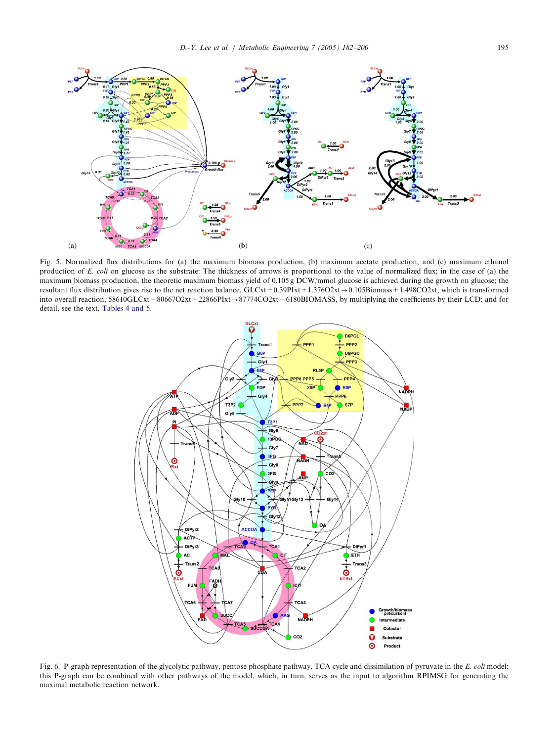<span id="page-13-0"></span>![](_page_13_Figure_1.jpeg)

Fig. 5. Normalized flux distributions for (a) the maximum biomass production, (b) maximum acetate production, and (c) maximum ethanol production of E. coli on glucose as the substrate: The thickness of arrows is proportional to the value of normalized flux; in the case of (a) the maximum biomass production, the theoretic maximum biomass yield of 0.105 g DCW/mmol glucose is achieved during the growth on glucose; the resultant flux distribution gives rise to the net reaction balance, GLCxt+0.39PIxt+1.376O2xt-0.105Biomass+1.498CO2xt, which is transformed into overall reaction, 58610GLCxt +80667O2xt +22866PIxt  $\rightarrow$  87774CO2xt +6180BIOMASS, by multiplying the coefficients by their LCD; and for detail, see the text, [Tables 4 and 5.](#page-11-0)

![](_page_13_Figure_3.jpeg)

Fig. 6. P-graph representation of the glycolytic pathway, pentose phosphate pathway, TCA cycle and dissimilation of pyruvate in the E. coli model: this P-graph can be combined with other pathways of the model, which, in turn, serves as the input to algorithm RPIMSG for generating the maximal metabolic reaction network.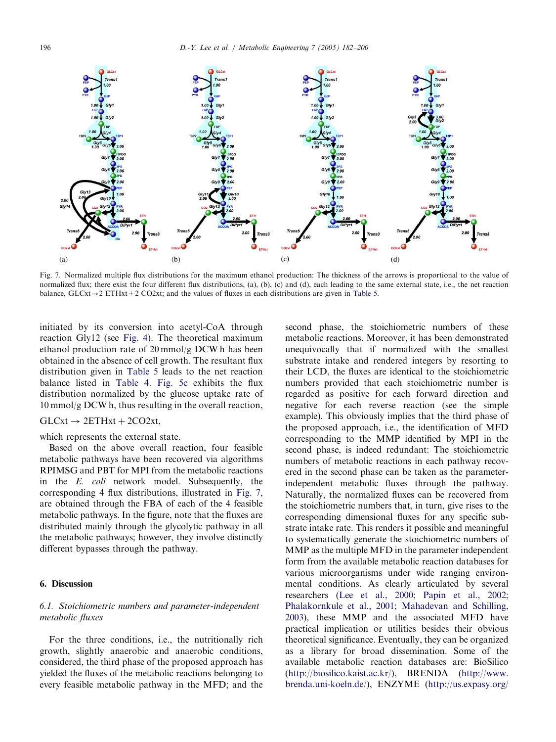![](_page_14_Figure_1.jpeg)

Fig. 7. Normalized multiple flux distributions for the maximum ethanol production: The thickness of the arrows is proportional to the value of normalized flux; there exist the four different flux distributions, (a), (b), (c) and (d), each leading to the same external state, i.e., the net reaction balance,  $GLCx \rightarrow 2 ETHxt + 2 CO2xt$ ; and the values of fluxes in each distributions are given in [Table 5.](#page-12-0)

initiated by its conversion into acetyl-CoA through reaction Gly12 (see [Fig. 4](#page-8-0)). The theoretical maximum ethanol production rate of 20 mmol/g DCW h has been obtained in the absence of cell growth. The resultant flux distribution given in [Table 5](#page-12-0) leads to the net reaction balance listed in [Table 4.](#page-11-0) [Fig. 5c](#page-13-0) exhibits the flux distribution normalized by the glucose uptake rate of 10 mmol/g DCW h, thus resulting in the overall reaction,

## $GLCxt \rightarrow 2ETHxt + 2CO2xt$ ,

which represents the external state.

Based on the above overall reaction, four feasible metabolic pathways have been recovered via algorithms RPIMSG and PBT for MPI from the metabolic reactions in the E. coli network model. Subsequently, the corresponding 4 flux distributions, illustrated in Fig. 7, are obtained through the FBA of each of the 4 feasible metabolic pathways. In the figure, note that the fluxes are distributed mainly through the glycolytic pathway in all the metabolic pathways; however, they involve distinctly different bypasses through the pathway.

# 6. Discussion

# 6.1. Stoichiometric numbers and parameter-independent metabolic fluxes

For the three conditions, i.e., the nutritionally rich growth, slightly anaerobic and anaerobic conditions, considered, the third phase of the proposed approach has yielded the fluxes of the metabolic reactions belonging to every feasible metabolic pathway in the MFD; and the

second phase, the stoichiometric numbers of these metabolic reactions. Moreover, it has been demonstrated unequivocally that if normalized with the smallest substrate intake and rendered integers by resorting to their LCD, the fluxes are identical to the stoichiometric numbers provided that each stoichiometric number is regarded as positive for each forward direction and negative for each reverse reaction (see the simple example). This obviously implies that the third phase of the proposed approach, i.e., the identification of MFD corresponding to the MMP identified by MPI in the second phase, is indeed redundant: The stoichiometric numbers of metabolic reactions in each pathway recovered in the second phase can be taken as the parameterindependent metabolic fluxes through the pathway. Naturally, the normalized fluxes can be recovered from the stoichiometric numbers that, in turn, give rises to the corresponding dimensional fluxes for any specific substrate intake rate. This renders it possible and meaningful to systematically generate the stoichiometric numbers of MMP as the multiple MFD in the parameter independent form from the available metabolic reaction databases for various microorganisms under wide ranging environmental conditions. As clearly articulated by several researchers [\(Lee et al., 2000;](#page-17-0) [Papin et al., 2002;](#page-17-0) [Phalakornkule et al., 2001](#page-17-0); [Mahadevan and Schilling,](#page-17-0) [2003](#page-17-0)), these MMP and the associated MFD have practical implication or utilities besides their obvious theoretical significance. Eventually, they can be organized as a library for broad dissemination. Some of the available metabolic reaction databases are: BioSilico (<http://biosilico.kaist.ac.kr/>), BRENDA [\(http://www.](http://www.brenda.uni-koeln.de/) [brenda.uni-koeln.de/\)](http://www.brenda.uni-koeln.de/), ENZYME [\(http://us.expasy.org/](http://us.expasy.org/enzyme/)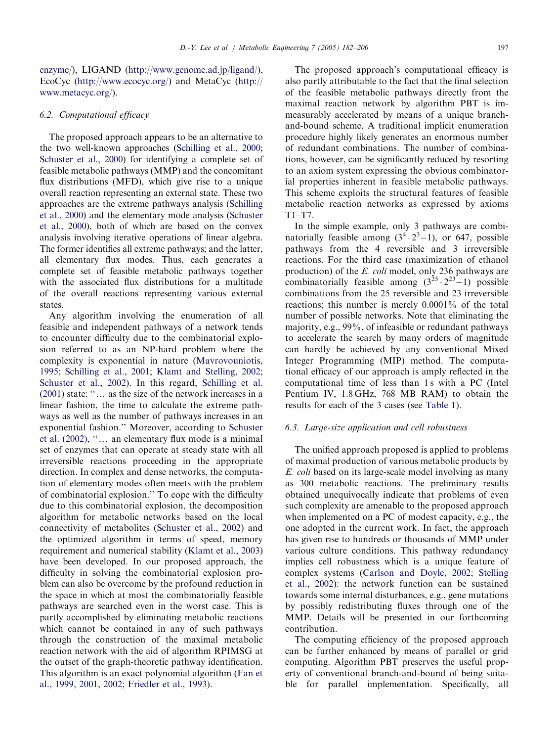[enzyme/\)](http://us.expasy.org/enzyme/), LIGAND [\(http://www.genome.ad.jp/ligand/\)](http://www.genome.ad.jp/ligand/), EcoCyc [\(http://www.ecocyc.org/](http://www.ecocyc.org/)) and MetaCyc [\(http://](http://www.metacyc.org/) [www.metacyc.org/](http://www.metacyc.org/)).

## 6.2. Computational efficacy

The proposed approach appears to be an alternative to the two well-known approaches [\(Schilling et al., 2000;](#page-17-0) [Schuster et al., 2000\)](#page-17-0) for identifying a complete set of feasible metabolic pathways (MMP) and the concomitant flux distributions (MFD), which give rise to a unique overall reaction representing an external state. These two approaches are the extreme pathways analysis ([Schilling](#page-17-0) [et al., 2000](#page-17-0)) and the elementary mode analysis [\(Schuster](#page-17-0) [et al., 2000](#page-17-0)), both of which are based on the convex analysis involving iterative operations of linear algebra. The former identifies all extreme pathways; and the latter, all elementary flux modes. Thus, each generates a complete set of feasible metabolic pathways together with the associated flux distributions for a multitude of the overall reactions representing various external states.

Any algorithm involving the enumeration of all feasible and independent pathways of a network tends to encounter difficulty due to the combinatorial explosion referred to as an NP-hard problem where the complexity is exponential in nature [\(Mavrovouniotis,](#page-17-0) [1995](#page-17-0); [Schilling et al., 2001](#page-17-0); [Klamt and Stelling, 2002;](#page-17-0) [Schuster et al., 2002\)](#page-18-0). In this regard, [Schilling et al.](#page-17-0)  $(2001)$  state: " $\dots$  as the size of the network increases in a linear fashion, the time to calculate the extreme pathways as well as the number of pathways increases in an exponential fashion.'' Moreover, according to [Schuster](#page-18-0) et al.  $(2002)$ , " $\ldots$  an elementary flux mode is a minimal set of enzymes that can operate at steady state with all irreversible reactions proceeding in the appropriate direction. In complex and dense networks, the computation of elementary modes often meets with the problem of combinatorial explosion.'' To cope with the difficulty due to this combinatorial explosion, the decomposition algorithm for metabolic networks based on the local connectivity of metabolites [\(Schuster et al., 2002](#page-18-0)) and the optimized algorithm in terms of speed, memory requirement and numerical stability [\(Klamt et al., 2003](#page-17-0)) have been developed. In our proposed approach, the difficulty in solving the combinatorial explosion problem can also be overcome by the profound reduction in the space in which at most the combinatorially feasible pathways are searched even in the worst case. This is partly accomplished by eliminating metabolic reactions which cannot be contained in any of such pathways through the construction of the maximal metabolic reaction network with the aid of algorithm RPIMSG at the outset of the graph-theoretic pathway identification. This algorithm is an exact polynomial algorithm [\(Fan et](#page-17-0) [al., 1999, 2001, 2002;](#page-17-0) [Friedler et al., 1993\)](#page-17-0).

The proposed approach's computational efficacy is also partly attributable to the fact that the final selection of the feasible metabolic pathways directly from the maximal reaction network by algorithm PBT is immeasurably accelerated by means of a unique branchand-bound scheme. A traditional implicit enumeration procedure highly likely generates an enormous number of redundant combinations. The number of combinations, however, can be significantly reduced by resorting to an axiom system expressing the obvious combinatorial properties inherent in feasible metabolic pathways. This scheme exploits the structural features of feasible metabolic reaction networks as expressed by axioms T1–T7.

In the simple example, only 3 pathways are combinatorially feasible among  $(3^4 \tcdot 2^3 - 1)$ , or 647, possible pathways from the 4 reversible and 3 irreversible reactions. For the third case (maximization of ethanol production) of the E. coli model, only 236 pathways are combinatorially feasible among  $(3^{25} \cdot 2^{23} - 1)$  possible combinations from the 25 reversible and 23 irreversible reactions; this number is merely 0.0001% of the total number of possible networks. Note that eliminating the majority, e.g., 99%, of infeasible or redundant pathways to accelerate the search by many orders of magnitude can hardly be achieved by any conventional Mixed Integer Programming (MIP) method. The computational efficacy of our approach is amply reflected in the computational time of less than 1 s with a PC (Intel Pentium IV, 1.8 GHz, 768 MB RAM) to obtain the results for each of the 3 cases (see [Table 1](#page-7-0)).

#### 6.3. Large-size application and cell robustness

The unified approach proposed is applied to problems of maximal production of various metabolic products by E. coli based on its large-scale model involving as many as 300 metabolic reactions. The preliminary results obtained unequivocally indicate that problems of even such complexity are amenable to the proposed approach when implemented on a PC of modest capacity, e.g., the one adopted in the current work. In fact, the approach has given rise to hundreds or thousands of MMP under various culture conditions. This pathway redundancy implies cell robustness which is a unique feature of complex systems ([Carlson and Doyle, 2002](#page-16-0); [Stelling](#page-18-0) [et al., 2002](#page-18-0)): the network function can be sustained towards some internal disturbances, e.g., gene mutations by possibly redistributing fluxes through one of the MMP. Details will be presented in our forthcoming contribution.

The computing efficiency of the proposed approach can be further enhanced by means of parallel or grid computing. Algorithm PBT preserves the useful property of conventional branch-and-bound of being suitable for parallel implementation. Specifically, all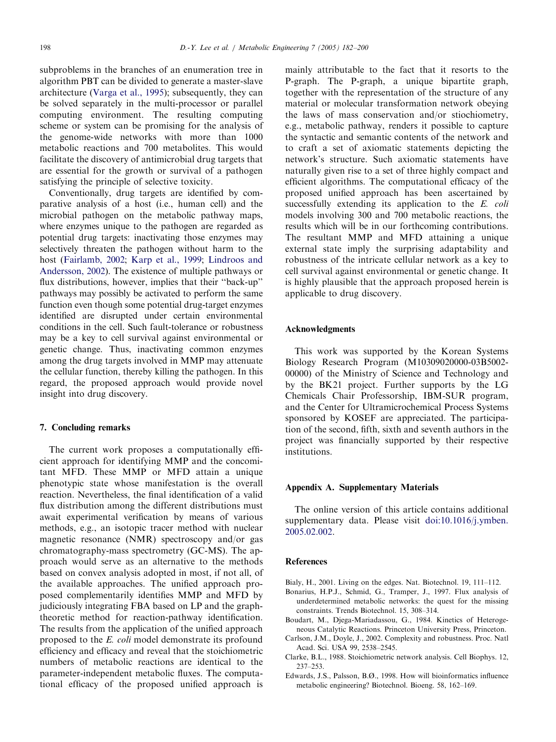<span id="page-16-0"></span>subproblems in the branches of an enumeration tree in algorithm PBT can be divided to generate a master-slave architecture [\(Varga et al., 1995\)](#page-18-0); subsequently, they can be solved separately in the multi-processor or parallel computing environment. The resulting computing scheme or system can be promising for the analysis of the genome-wide networks with more than 1000 metabolic reactions and 700 metabolites. This would facilitate the discovery of antimicrobial drug targets that are essential for the growth or survival of a pathogen satisfying the principle of selective toxicity.

Conventionally, drug targets are identified by comparative analysis of a host (i.e., human cell) and the microbial pathogen on the metabolic pathway maps, where enzymes unique to the pathogen are regarded as potential drug targets: inactivating those enzymes may selectively threaten the pathogen without harm to the host [\(Fairlamb, 2002;](#page-17-0) [Karp et al., 1999;](#page-17-0) [Lindroos and](#page-17-0) [Andersson, 2002\)](#page-17-0). The existence of multiple pathways or flux distributions, however, implies that their "back-up" pathways may possibly be activated to perform the same function even though some potential drug-target enzymes identified are disrupted under certain environmental conditions in the cell. Such fault-tolerance or robustness may be a key to cell survival against environmental or genetic change. Thus, inactivating common enzymes among the drug targets involved in MMP may attenuate the cellular function, thereby killing the pathogen. In this regard, the proposed approach would provide novel insight into drug discovery.

#### 7. Concluding remarks

The current work proposes a computationally efficient approach for identifying MMP and the concomitant MFD. These MMP or MFD attain a unique phenotypic state whose manifestation is the overall reaction. Nevertheless, the final identification of a valid flux distribution among the different distributions must await experimental verification by means of various methods, e.g., an isotopic tracer method with nuclear magnetic resonance (NMR) spectroscopy and/or gas chromatography-mass spectrometry (GC-MS). The approach would serve as an alternative to the methods based on convex analysis adopted in most, if not all, of the available approaches. The unified approach proposed complementarily identifies MMP and MFD by judiciously integrating FBA based on LP and the graphtheoretic method for reaction-pathway identification. The results from the application of the unified approach proposed to the E. coli model demonstrate its profound efficiency and efficacy and reveal that the stoichiometric numbers of metabolic reactions are identical to the parameter-independent metabolic fluxes. The computational efficacy of the proposed unified approach is

mainly attributable to the fact that it resorts to the P-graph. The P-graph, a unique bipartite graph, together with the representation of the structure of any material or molecular transformation network obeying the laws of mass conservation and/or stiochiometry, e.g., metabolic pathway, renders it possible to capture the syntactic and semantic contents of the network and to craft a set of axiomatic statements depicting the network's structure. Such axiomatic statements have naturally given rise to a set of three highly compact and efficient algorithms. The computational efficacy of the proposed unified approach has been ascertained by successfully extending its application to the E. coli models involving 300 and 700 metabolic reactions, the results which will be in our forthcoming contributions. The resultant MMP and MFD attaining a unique external state imply the surprising adaptability and robustness of the intricate cellular network as a key to cell survival against environmental or genetic change. It is highly plausible that the approach proposed herein is applicable to drug discovery.

#### Acknowledgments

This work was supported by the Korean Systems Biology Research Program (M10309020000-03B5002- 00000) of the Ministry of Science and Technology and by the BK21 project. Further supports by the LG Chemicals Chair Professorship, IBM-SUR program, and the Center for Ultramicrochemical Process Systems sponsored by KOSEF are appreciated. The participation of the second, fifth, sixth and seventh authors in the project was financially supported by their respective institutions.

#### Appendix A. Supplementary Materials

The online version of this article contains additional supplementary data. Please visit [doi:10.1016/j.ymben.](dx.doi.org/10.1016/j.ymben.2005.02.002) [2005.02.002.](dx.doi.org/10.1016/j.ymben.2005.02.002)

#### References

Bialy, H., 2001. Living on the edges. Nat. Biotechnol. 19, 111–112.

- Bonarius, H.P.J., Schmid, G., Tramper, J., 1997. Flux analysis of underdetermined metabolic networks: the quest for the missing constraints. Trends Biotechnol. 15, 308–314.
- Boudart, M., Djega-Mariadassou, G., 1984. Kinetics of Heterogeneous Catalytic Reactions. Princeton University Press, Princeton.
- Carlson, J.M., Doyle, J., 2002. Complexity and robustness. Proc. Natl Acad. Sci. USA 99, 2538–2545.
- Clarke, B.L., 1988. Stoichiometric network analysis. Cell Biophys. 12, 237–253.
- Edwards, J.S., Palsson, B.Ø., 1998. How will bioinformatics influence metabolic engineering? Biotechnol. Bioeng. 58, 162–169.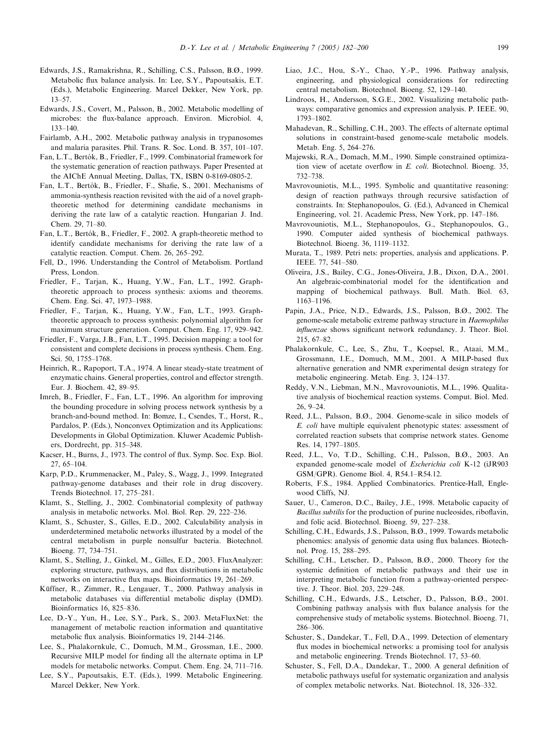- <span id="page-17-0"></span>Edwards, J.S., Ramakrishna, R., Schilling, C.S., Palsson, B.Ø., 1999. Metabolic flux balance analysis. In: Lee, S.Y., Papoutsakis, E.T. (Eds.), Metabolic Engineering. Marcel Dekker, New York, pp. 13–57.
- Edwards, J.S., Covert, M., Palsson, B., 2002. Metabolic modelling of microbes: the flux-balance approach. Environ. Microbiol. 4, 133–140.
- Fairlamb, A.H., 2002. Metabolic pathway analysis in trypanosomes and malaria parasites. Phil. Trans. R. Soc. Lond. B. 357, 101–107.
- Fan, L.T., Bertók, B., Friedler, F., 1999. Combinatorial framework for the systematic generation of reaction pathways. Paper Presented at the AIChE Annual Meeting, Dallas, TX, ISBN 0-8169-0805-2.
- Fan, L.T., Bertók, B., Friedler, F., Shafie, S., 2001. Mechanisms of ammonia-synthesis reaction revisited with the aid of a novel graphtheoretic method for determining candidate mechanisms in deriving the rate law of a catalytic reaction. Hungarian J. Ind. Chem. 29, 71–80.
- Fan, L.T., Bertók, B., Friedler, F., 2002. A graph-theoretic method to identify candidate mechanisms for deriving the rate law of a catalytic reaction. Comput. Chem. 26, 265–292.
- Fell, D., 1996. Understanding the Control of Metabolism. Portland Press, London.
- Friedler, F., Tarjan, K., Huang, Y.W., Fan, L.T., 1992. Graphtheoretic approach to process synthesis: axioms and theorems. Chem. Eng. Sci. 47, 1973–1988.
- Friedler, F., Tarjan, K., Huang, Y.W., Fan, L.T., 1993. Graphtheoretic approach to process synthesis: polynomial algorithm for maximum structure generation. Comput. Chem. Eng. 17, 929–942.
- Friedler, F., Varga, J.B., Fan, L.T., 1995. Decision mapping: a tool for consistent and complete decisions in process synthesis. Chem. Eng. Sci. 50, 1755–1768.
- Heinrich, R., Rapoport, T.A., 1974. A linear steady-state treatment of enzymatic chains. General properties, control and effector strength. Eur. J. Biochem. 42, 89–95.
- Imreh, B., Friedler, F., Fan, L.T., 1996. An algorithm for improving the bounding procedure in solving process network synthesis by a branch-and-bound method. In: Bomze, I., Csendes, T., Horst, R., Pardalos, P. (Eds.), Nonconvex Optimization and its Applications: Developments in Global Optimization. Kluwer Academic Publishers, Dordrecht, pp. 315–348.
- Kacser, H., Burns, J., 1973. The control of flux. Symp. Soc. Exp. Biol. 27, 65–104.
- Karp, P.D., Krummenacker, M., Paley, S., Wagg, J., 1999. Integrated pathway-genome databases and their role in drug discovery. Trends Biotechnol. 17, 275–281.
- Klamt, S., Stelling, J., 2002. Combinatorial complexity of pathway analysis in metabolic networks. Mol. Biol. Rep. 29, 222–236.
- Klamt, S., Schuster, S., Gilles, E.D., 2002. Calculability analysis in underdetermined metabolic networks illustrated by a model of the central metabolism in purple nonsulfur bacteria. Biotechnol. Bioeng. 77, 734–751.
- Klamt, S., Stelling, J., Ginkel, M., Gilles, E.D., 2003. FluxAnalyzer: exploring structure, pathways, and flux distributions in metabolic networks on interactive flux maps. Bioinformatics 19, 261–269.
- Küffner, R., Zimmer, R., Lengauer, T., 2000. Pathway analysis in metabolic databases via differential metabolic display (DMD). Bioinformatics 16, 825–836.
- Lee, D.-Y., Yun, H., Lee, S.Y., Park, S., 2003. MetaFluxNet: the management of metabolic reaction information and quantitative metabolic flux analysis. Bioinformatics 19, 2144-2146.
- Lee, S., Phalakornkule, C., Domuch, M.M., Grossman, I.E., 2000. Recursive MILP model for finding all the alternate optima in LP models for metabolic networks. Comput. Chem. Eng. 24, 711–716.
- Lee, S.Y., Papoutsakis, E.T. (Eds.), 1999. Metabolic Engineering. Marcel Dekker, New York.
- Liao, J.C., Hou, S.-Y., Chao, Y.-P., 1996. Pathway analysis, engineering, and physiological considerations for redirecting central metabolism. Biotechnol. Bioeng. 52, 129–140.
- Lindroos, H., Andersson, S.G.E., 2002. Visualizing metabolic pathways: comparative genomics and expression analysis. P. IEEE. 90, 1793–1802.
- Mahadevan, R., Schilling, C.H., 2003. The effects of alternate optimal solutions in constraint-based genome-scale metabolic models. Metab. Eng. 5, 264–276.
- Majewski, R.A., Domach, M.M., 1990. Simple constrained optimization view of acetate overflow in E. coli. Biotechnol. Bioeng. 35, 732–738.
- Mavrovouniotis, M.L., 1995. Symbolic and quantitative reasoning: design of reaction pathways through recursive satisfaction of constraints. In: Stephanopoulos, G. (Ed.), Advanced in Chemical Engineering, vol. 21. Academic Press, New York, pp. 147–186.
- Mavrovouniotis, M.L., Stephanopoulos, G., Stephanopoulos, G., 1990. Computer aided synthesis of biochemical pathways. Biotechnol. Bioeng. 36, 1119–1132.
- Murata, T., 1989. Petri nets: properties, analysis and applications. P. IEEE. 77, 541–580.
- Oliveira, J.S., Bailey, C.G., Jones-Oliveira, J.B., Dixon, D.A., 2001. An algebraic-combinatorial model for the identification and mapping of biochemical pathways. Bull. Math. Biol. 63, 1163–1196.
- Papin, J.A., Price, N.D., Edwards, J.S., Palsson, B.Ø., 2002. The genome-scale metabolic extreme pathway structure in Haemophilus influenzae shows significant network redundancy. J. Theor. Biol. 215, 67–82.
- Phalakornkule, C., Lee, S., Zhu, T., Koepsel, R., Ataai, M.M., Grossmann, I.E., Domuch, M.M., 2001. A MILP-based flux alternative generation and NMR experimental design strategy for metabolic engineering. Metab. Eng. 3, 124–137.
- Reddy, V.N., Liebman, M.N., Mavrovouniotis, M.L., 1996. Qualitative analysis of biochemical reaction systems. Comput. Biol. Med. 26, 9–24.
- Reed, J.L., Palsson, B.Ø., 2004. Genome-scale in silico models of E. coli have multiple equivalent phenotypic states: assessment of correlated reaction subsets that comprise network states. Genome Res. 14, 1797–1805.
- Reed, J.L., Vo, T.D., Schilling, C.H., Palsson, B.Ø., 2003. An expanded genome-scale model of Escherichia coli K-12 (iJR903 GSM/GPR). Genome Biol. 4, R54.1–R54.12.
- Roberts, F.S., 1984. Applied Combinatorics. Prentice-Hall, Englewood Cliffs, NJ.
- Sauer, U., Cameron, D.C., Bailey, J.E., 1998. Metabolic capacity of Bacillus subtilis for the production of purine nucleosides, riboflavin, and folic acid. Biotechnol. Bioeng. 59, 227–238.
- Schilling, C.H., Edwards, J.S., Palsson, B.Ø., 1999. Towards metabolic phenomics: analysis of genomic data using flux balances. Biotechnol. Prog. 15, 288–295.
- Schilling, C.H., Letscher, D., Palsson, B.Ø., 2000. Theory for the systemic definition of metabolic pathways and their use in interpreting metabolic function from a pathway-oriented perspective. J. Theor. Biol. 203, 229–248.
- Schilling, C.H., Edwards, J.S., Letscher, D., Palsson, B.Ø., 2001. Combining pathway analysis with flux balance analysis for the comprehensive study of metabolic systems. Biotechnol. Bioeng. 71, 286–306.
- Schuster, S., Dandekar, T., Fell, D.A., 1999. Detection of elementary flux modes in biochemical networks: a promising tool for analysis and metabolic engineering. Trends Biotechnol. 17, 53–60.
- Schuster, S., Fell, D.A., Dandekar, T., 2000. A general definition of metabolic pathways useful for systematic organization and analysis of complex metabolic networks. Nat. Biotechnol. 18, 326–332.